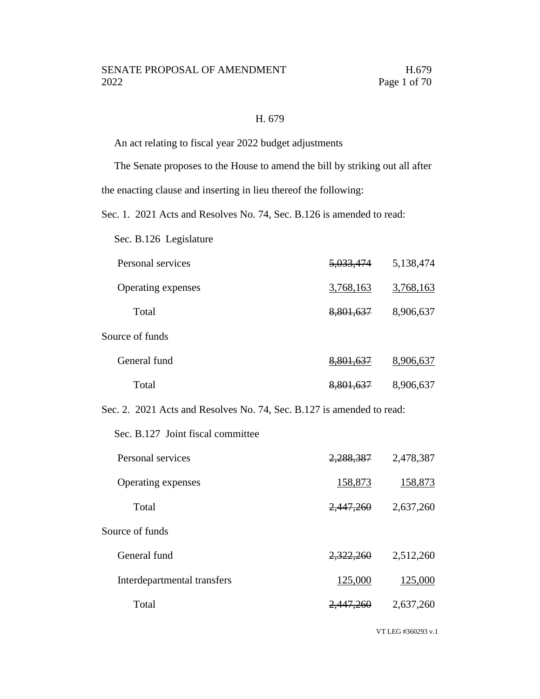### H. 679

An act relating to fiscal year 2022 budget adjustments

The Senate proposes to the House to amend the bill by striking out all after

the enacting clause and inserting in lieu thereof the following:

Sec. 1. 2021 Acts and Resolves No. 74, Sec. B.126 is amended to read:

Sec. B.126 Legislature

| Personal services  | <del>5,033,474</del> | 5,138,474 |
|--------------------|----------------------|-----------|
| Operating expenses | 3,768,163            | 3,768,163 |
| Total              | 8,801,637            | 8,906,637 |
| Source of funds    |                      |           |
| General fund       | 8,801,637            | 8,906,637 |
| Total              | 8,801,637            | 8,906,637 |

Sec. 2. 2021 Acts and Resolves No. 74, Sec. B.127 is amended to read:

Sec. B.127 Joint fiscal committee

| Personal services           | 2,288,387            | 2,478,387 |
|-----------------------------|----------------------|-----------|
| Operating expenses          | 158,873              | 158,873   |
| Total                       | 2,447,260            | 2,637,260 |
| Source of funds             |                      |           |
| General fund                | 2,322,260            | 2,512,260 |
| Interdepartmental transfers | 125,000              | 125,000   |
| Total                       | <del>2.447.260</del> | 2,637,260 |
|                             |                      |           |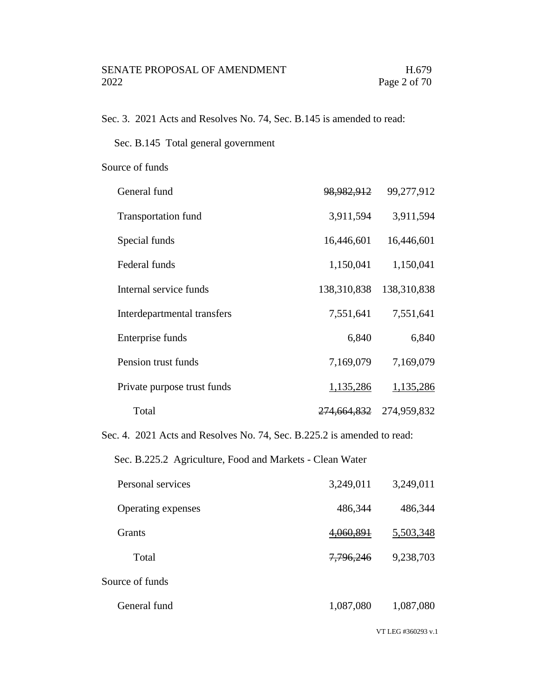Sec. 3. 2021 Acts and Resolves No. 74, Sec. B.145 is amended to read:

Sec. B.145 Total general government

Source of funds

| General fund                | 98,982,912             | 99,277,912  |
|-----------------------------|------------------------|-------------|
| <b>Transportation fund</b>  | 3,911,594              | 3,911,594   |
| Special funds               | 16,446,601             | 16,446,601  |
| Federal funds               | 1,150,041              | 1,150,041   |
| Internal service funds      | 138,310,838            | 138,310,838 |
| Interdepartmental transfers | 7,551,641              | 7,551,641   |
| Enterprise funds            | 6,840                  | 6,840       |
| Pension trust funds         | 7,169,079              | 7,169,079   |
| Private purpose trust funds | 1,135,286              | 1,135,286   |
| Total                       | <del>274,664,832</del> | 274,959,832 |

Sec. 4. 2021 Acts and Resolves No. 74, Sec. B.225.2 is amended to read:

Sec. B.225.2 Agriculture, Food and Markets - Clean Water

| Personal services  | 3,249,011 | 3,249,011 |
|--------------------|-----------|-----------|
| Operating expenses | 486,344   | 486,344   |
| <b>Grants</b>      | 4,060,891 | 5,503,348 |
| Total              | 7,796,246 | 9,238,703 |
| Source of funds    |           |           |
| General fund       | 1,087,080 | 1,087,080 |

VT LEG #360293 v.1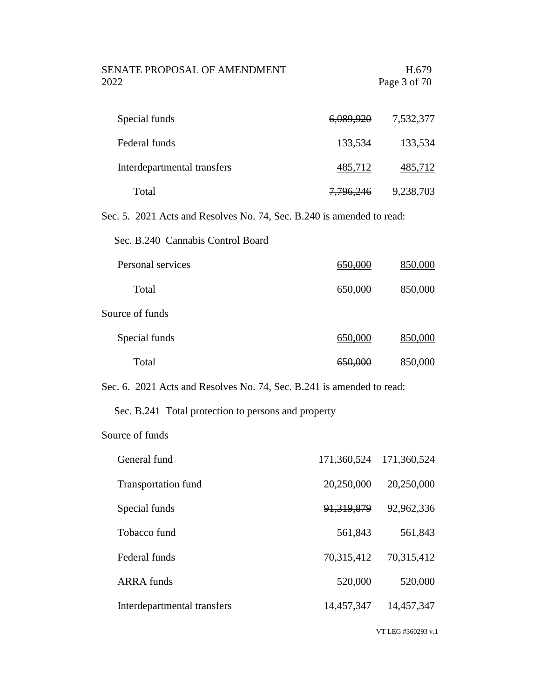| SENATE PROPOSAL OF AMENDMENT |                      | H.679        |
|------------------------------|----------------------|--------------|
| 2022                         |                      | Page 3 of 70 |
|                              |                      |              |
| Special funds                | <del>6,089,920</del> | 7,532,377    |

| Federal funds               | 133,534   | 133,534   |
|-----------------------------|-----------|-----------|
| Interdepartmental transfers | 485,712   | 485,712   |
| Total                       | 7,796,246 | 9,238,703 |

Sec. 5. 2021 Acts and Resolves No. 74, Sec. B.240 is amended to read:

Sec. B.240 Cannabis Control Board

| Personal services | <del>650,000</del> | 850,000 |
|-------------------|--------------------|---------|
| Total             | 650,000            | 850,000 |
| Source of funds   |                    |         |
| Special funds     | <del>650,000</del> | 850,000 |
| Total             | <del>650,000</del> | 850,000 |

Sec. 6. 2021 Acts and Resolves No. 74, Sec. B.241 is amended to read:

# Sec. B.241 Total protection to persons and property

### Source of funds

| General fund                | 171,360,524  | 171,360,524 |
|-----------------------------|--------------|-------------|
| <b>Transportation fund</b>  | 20,250,000   | 20,250,000  |
| Special funds               | 91, 319, 879 | 92,962,336  |
| Tobacco fund                | 561,843      | 561,843     |
| Federal funds               | 70,315,412   | 70,315,412  |
| <b>ARRA</b> funds           | 520,000      | 520,000     |
| Interdepartmental transfers | 14,457,347   | 14,457,347  |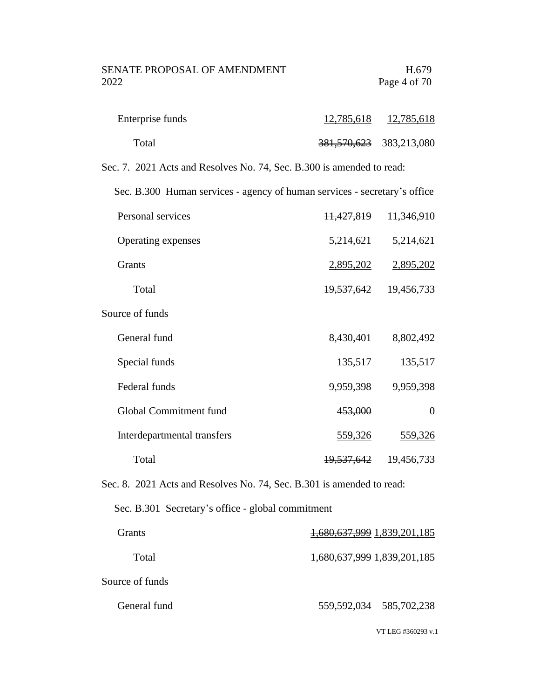| Enterprise funds | 12,785,618                  | 12,785,618 |
|------------------|-----------------------------|------------|
| Total            | 381, 570, 623 383, 213, 080 |            |

Sec. 7. 2021 Acts and Resolves No. 74, Sec. B.300 is amended to read:

Sec. B.300 Human services - agency of human services - secretary's office

| Personal services  | <del>11,427,819</del> | 11,346,910 |
|--------------------|-----------------------|------------|
| Operating expenses | 5,214,621             | 5,214,621  |
| Grants             | 2,895,202             | 2,895,202  |
| Total              | <del>19,537,642</del> | 19,456,733 |
|                    |                       |            |

Source of funds

| General fund                | 8,430,401             | 8,802,492  |
|-----------------------------|-----------------------|------------|
| Special funds               | 135,517               | 135,517    |
| Federal funds               | 9,959,398             | 9,959,398  |
| Global Commitment fund      | 453,000               | $\theta$   |
| Interdepartmental transfers | 559,326               | 559,326    |
| Total                       | <del>19,537,642</del> | 19,456,733 |

Sec. 8. 2021 Acts and Resolves No. 74, Sec. B.301 is amended to read:

Sec. B.301 Secretary's office - global commitment

| Grants          | 1,680,637,999 1,839,201,185 |
|-----------------|-----------------------------|
| Total           | 1,680,637,999 1,839,201,185 |
| Source of funds |                             |
| General fund    | 559, 592, 034 585, 702, 238 |

VT LEG #360293 v.1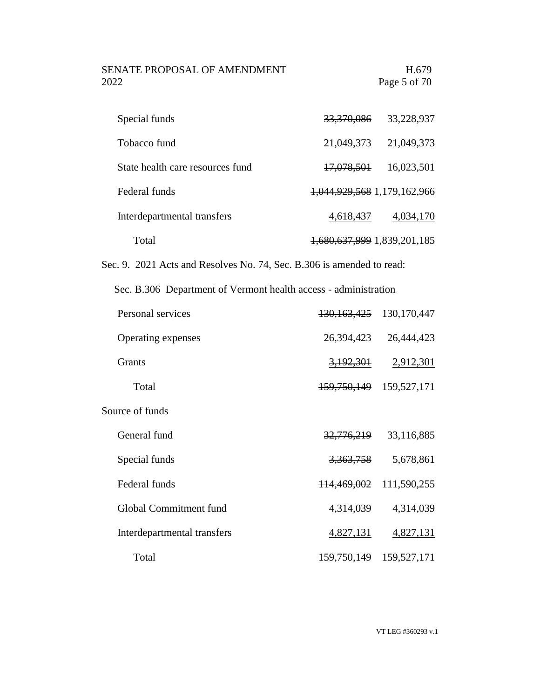# SENATE PROPOSAL OF AMENDMENT H.679 2022 Page 5 of 70

| Special funds                                                         | 33,370,086                  | 33,228,937    |
|-----------------------------------------------------------------------|-----------------------------|---------------|
| Tobacco fund                                                          | 21,049,373                  | 21,049,373    |
| State health care resources fund                                      | <del>17,078,501</del>       | 16,023,501    |
| Federal funds                                                         | 1,044,929,568 1,179,162,966 |               |
| Interdepartmental transfers                                           | 4 <del>.618.437</del>       | 4,034,170     |
| Total                                                                 | 1,680,637,999 1,839,201,185 |               |
| Sec. 9. 2021 Acts and Resolves No. 74, Sec. B.306 is amended to read: |                             |               |
| Sec. B.306 Department of Vermont health access - administration       |                             |               |
|                                                                       |                             |               |
| Personal services                                                     | <del>130,163,425</del>      | 130, 170, 447 |
| Operating expenses                                                    | <del>26,394,423</del>       | 26,444,423    |
| <b>Grants</b>                                                         | <del>3,192,301</del>        | 2,912,301     |
| Total                                                                 | <del>159,750,149</del>      | 159,527,171   |
| Source of funds                                                       |                             |               |

| Interdepartmental transfers | 4,827,131                   | 4,827,131 |
|-----------------------------|-----------------------------|-----------|
| Total                       | 159, 750, 149 159, 527, 171 |           |

Special funds 3,363,758 5,678,861

Federal funds 114,469,002 111,590,255

Global Commitment fund 4,314,039 4,314,039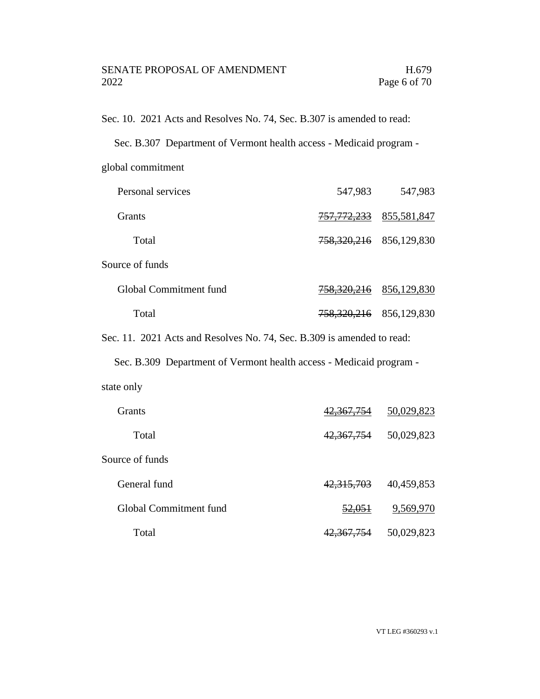Sec. 10. 2021 Acts and Resolves No. 74, Sec. B.307 is amended to read:

|  | Sec. B.307 Department of Vermont health access - Medicaid program - |
|--|---------------------------------------------------------------------|
|--|---------------------------------------------------------------------|

global commitment

| Personal services      | 547,983                | 547,983     |
|------------------------|------------------------|-------------|
| <b>Grants</b>          | <del>757,772,233</del> | 855,581,847 |
| Total                  | 758,320,216            | 856,129,830 |
| Source of funds        |                        |             |
| Global Commitment fund | 758,320,216            | 856,129,830 |
| Total                  | <del>758,320,216</del> | 856,129,830 |

Sec. 11. 2021 Acts and Resolves No. 74, Sec. B.309 is amended to read:

Sec. B.309 Department of Vermont health access - Medicaid program -

| state only |  |
|------------|--|
|            |  |

| <b>Grants</b>          | 42,367,754          | 50,029,823 |
|------------------------|---------------------|------------|
| Total                  | 42,367,754          | 50,029,823 |
| Source of funds        |                     |            |
| General fund           | 42,315,703          | 40,459,853 |
| Global Commitment fund | <del>52,051</del>   | 9,569,970  |
| Total                  | <del>.367.754</del> | 50,029,823 |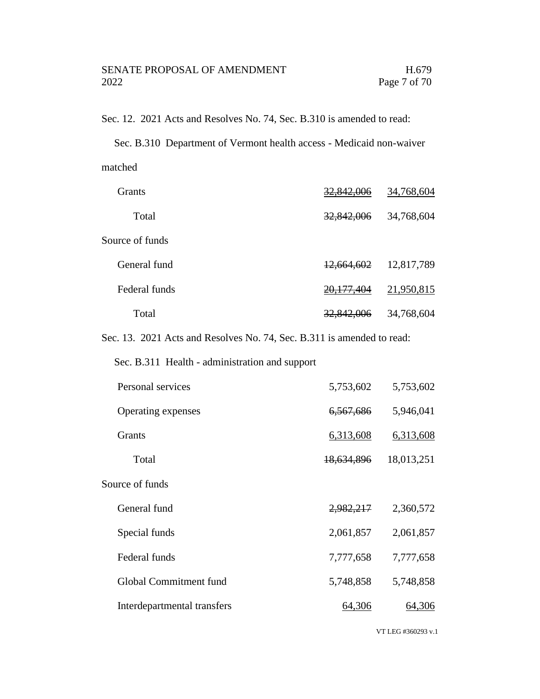Sec. 12. 2021 Acts and Resolves No. 74, Sec. B.310 is amended to read:

Sec. B.310 Department of Vermont health access - Medicaid non-waiver matched

| Grants          | <del>32,842,006</del> | 34,768,604 |
|-----------------|-----------------------|------------|
| Total           | 32,842,006            | 34,768,604 |
| Source of funds |                       |            |
| General fund    | 12,664,602            | 12,817,789 |
| Federal funds   | <del>20,177,404</del> | 21,950,815 |
| Total           | <del>32,842,006</del> | 34,768,604 |

Sec. 13. 2021 Acts and Resolves No. 74, Sec. B.311 is amended to read:

Sec. B.311 Health - administration and support

| Personal services           | 5,753,602  | 5,753,602  |
|-----------------------------|------------|------------|
| Operating expenses          | 6,567,686  | 5,946,041  |
| <b>Grants</b>               | 6,313,608  | 6,313,608  |
| Total                       | 18,634,896 | 18,013,251 |
| Source of funds             |            |            |
| General fund                | 2,982,217  | 2,360,572  |
| Special funds               | 2,061,857  | 2,061,857  |
| Federal funds               | 7,777,658  | 7,777,658  |
| Global Commitment fund      | 5,748,858  | 5,748,858  |
| Interdepartmental transfers | 64,306     | 64,306     |

VT LEG #360293 v.1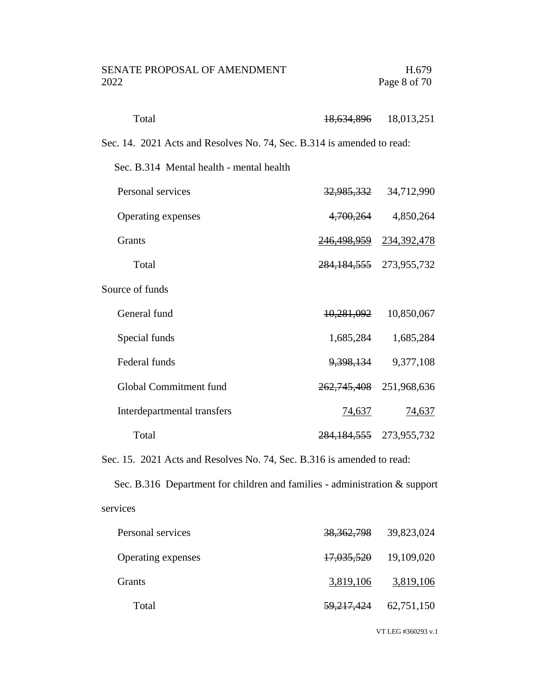| <b>SENATE PROPOSAL OF AMENDMENT</b><br>2022                            |                       | H.679<br>Page 8 of 70       |
|------------------------------------------------------------------------|-----------------------|-----------------------------|
| Total                                                                  | <del>18,634,896</del> | 18,013,251                  |
| Sec. 14. 2021 Acts and Resolves No. 74, Sec. B.314 is amended to read: |                       |                             |
| Sec. B.314 Mental health - mental health                               |                       |                             |
| Personal services                                                      |                       | 32,985,332 34,712,990       |
| Operating expenses                                                     | 4,700,264             | 4,850,264                   |
| Grants                                                                 |                       | 246, 498, 959 234, 392, 478 |
| Total                                                                  |                       | 284, 184, 555 273, 955, 732 |
| Source of funds                                                        |                       |                             |
| General fund                                                           | 10,281,092            | 10,850,067                  |
| Special funds                                                          | 1,685,284             | 1,685,284                   |
| Federal funds                                                          | <del>9,398,134</del>  | 9,377,108                   |
| Global Commitment fund                                                 |                       | 262,745,408 251,968,636     |
| Interdepartmental transfers                                            | <u>74,637</u>         | <u>74,637</u>               |
| Total                                                                  |                       | 284, 184, 555 273, 955, 732 |

Sec. 15. 2021 Acts and Resolves No. 74, Sec. B.316 is amended to read:

Sec. B.316 Department for children and families - administration & support services

| Personal services  | <del>38,362,798</del> | 39,823,024                |
|--------------------|-----------------------|---------------------------|
| Operating expenses | 17,035,520 19,109,020 |                           |
| <b>Grants</b>      | 3,819,106             | 3,819,106                 |
| Total              |                       | 59, 217, 424 62, 751, 150 |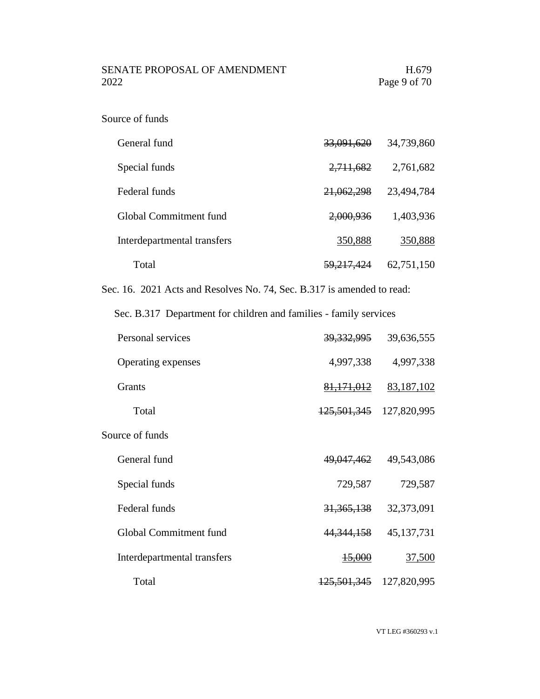### Source of funds

| General fund                | 33,091,620            | 34,739,860 |
|-----------------------------|-----------------------|------------|
| Special funds               | 2,711,682             | 2,761,682  |
| Federal funds               | <del>21,062,298</del> | 23,494,784 |
| Global Commitment fund      | 2,000,936             | 1,403,936  |
| Interdepartmental transfers | 350,888               | 350,888    |
| Total                       | <del>59,217,424</del> | 62,751,150 |

Sec. 16. 2021 Acts and Resolves No. 74, Sec. B.317 is amended to read:

Sec. B.317 Department for children and families - family services

| Personal services           | <u>39,332,995</u>      | 39,636,555    |
|-----------------------------|------------------------|---------------|
| Operating expenses          | 4,997,338              | 4,997,338     |
| <b>Grants</b>               | 81, 171, 012           | 83,187,102    |
| Total                       | <del>125,501,345</del> | 127,820,995   |
| Source of funds             |                        |               |
| General fund                | <del>49,047,462</del>  | 49,543,086    |
| Special funds               | 729,587                | 729,587       |
| Federal funds               | 31, 365, 138           | 32,373,091    |
| Global Commitment fund      | 44, 344, 158           | 45,137,731    |
| Interdepartmental transfers | <del>15,000</del>      | <u>37,500</u> |
| Total                       | <del>125,501,345</del> | 127,820,995   |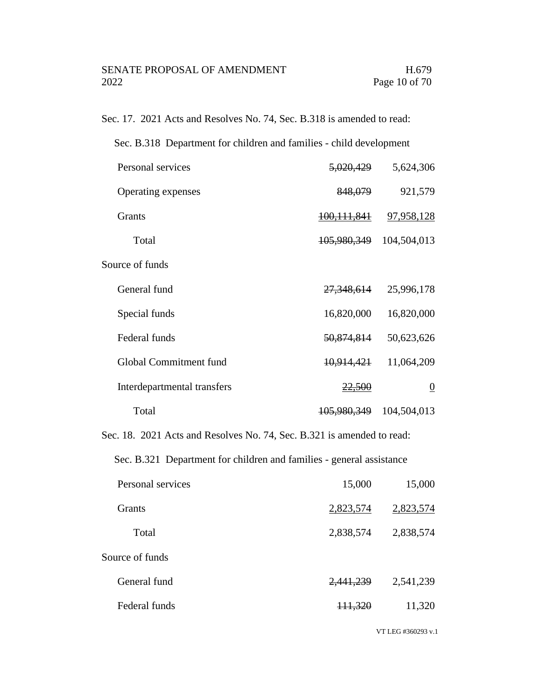Sec. 17. 2021 Acts and Resolves No. 74, Sec. B.318 is amended to read:

| Sec. B.318 Department for children and families - child development |                       |                |
|---------------------------------------------------------------------|-----------------------|----------------|
| Personal services                                                   | <del>5,020,429</del>  | 5,624,306      |
| Operating expenses                                                  | 848,079               | 921,579        |
| <b>Grants</b>                                                       | 100, 111, 841         | 97,958,128     |
| Total                                                               | 105,980,349           | 104,504,013    |
| Source of funds                                                     |                       |                |
| General fund                                                        | <del>27,348,614</del> | 25,996,178     |
| Special funds                                                       | 16,820,000            | 16,820,000     |
| Federal funds                                                       | 50,874,814            | 50,623,626     |
| Global Commitment fund                                              | <del>10,914,421</del> | 11,064,209     |
| Interdepartmental transfers                                         | <del>22,500</del>     | $\overline{0}$ |
| Total                                                               | 105,980,349           | 104,504,013    |
|                                                                     |                       |                |

Sec. 18. 2021 Acts and Resolves No. 74, Sec. B.321 is amended to read:

Sec. B.321 Department for children and families - general assistance

| 15,000             | 15,000    |
|--------------------|-----------|
| 2,823,574          | 2,823,574 |
| 2,838,574          | 2,838,574 |
|                    |           |
| 2,441,239          | 2,541,239 |
| <del>111.320</del> | 11,320    |
|                    |           |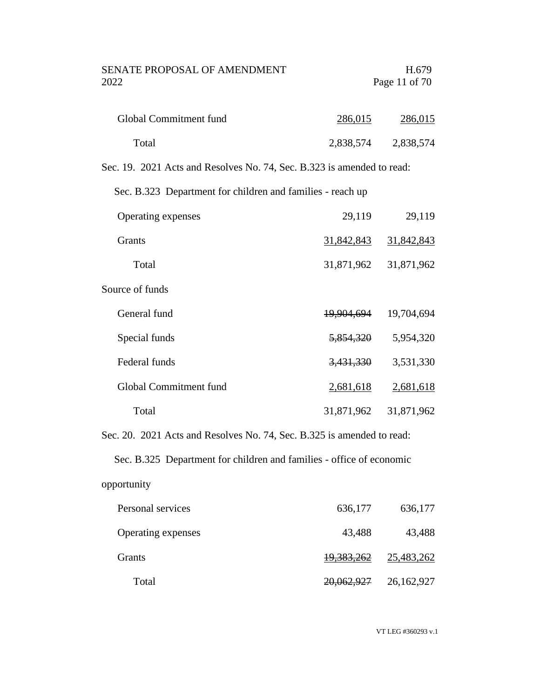| SENATE PROPOSAL OF AMENDMENT | H.679         |
|------------------------------|---------------|
| 2022                         | Page 11 of 70 |

| Global Commitment fund | 286,015   | 286,015   |
|------------------------|-----------|-----------|
| Total                  | 2,838,574 | 2,838,574 |

Sec. 19. 2021 Acts and Resolves No. 74, Sec. B.323 is amended to read:

Sec. B.323 Department for children and families - reach up

| Operating expenses     | 29,119     | 29,119     |
|------------------------|------------|------------|
| <b>Grants</b>          | 31,842,843 | 31,842,843 |
| Total                  | 31,871,962 | 31,871,962 |
| Source of funds        |            |            |
| General fund           | 19,904,694 | 19,704,694 |
| Special funds          | 5,854,320  | 5,954,320  |
| Federal funds          | 3,431,330  | 3,531,330  |
| Global Commitment fund | 2,681,618  | 2,681,618  |
| Total                  | 31,871,962 | 31,871,962 |

Sec. 20. 2021 Acts and Resolves No. 74, Sec. B.325 is amended to read:

Sec. B.325 Department for children and families - office of economic

# opportunity

| Personal services  | 636,177    | 636,177    |
|--------------------|------------|------------|
| Operating expenses | 43,488     | 43,488     |
| <b>Grants</b>      | 19,383,262 | 25,483,262 |
| Total              | 20,062,927 | 26,162,927 |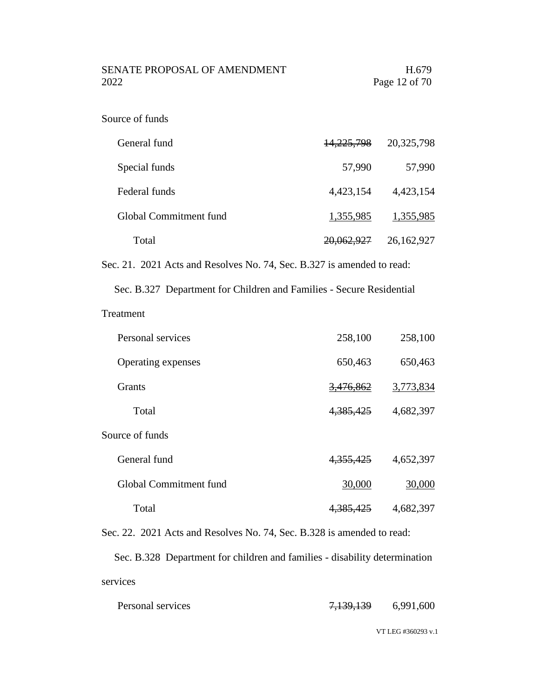SENATE PROPOSAL OF AMENDMENT H.679 2022 Page 12 of 70

### Source of funds

| General fund           | <del>14,225,798</del> | 20,325,798 |
|------------------------|-----------------------|------------|
| Special funds          | 57,990                | 57,990     |
| Federal funds          | 4,423,154             | 4,423,154  |
| Global Commitment fund | 1,355,985             | 1,355,985  |
| Total                  | <del>20,062,927</del> | 26,162,927 |

Sec. 21. 2021 Acts and Resolves No. 74, Sec. B.327 is amended to read:

Sec. B.327 Department for Children and Families - Secure Residential

### Treatment

| Personal services      | 258,100              | 258,100   |
|------------------------|----------------------|-----------|
| Operating expenses     | 650,463              | 650,463   |
| <b>Grants</b>          | <del>3,476,862</del> | 3,773,834 |
| Total                  | 4,385,425            | 4,682,397 |
| Source of funds        |                      |           |
| General fund           | 4, 355, 425          | 4,652,397 |
| Global Commitment fund | 30,000               | 30,000    |
| Total                  | 4,385,425            | 4,682,397 |

Sec. 22. 2021 Acts and Resolves No. 74, Sec. B.328 is amended to read:

Sec. B.328 Department for children and families - disability determination services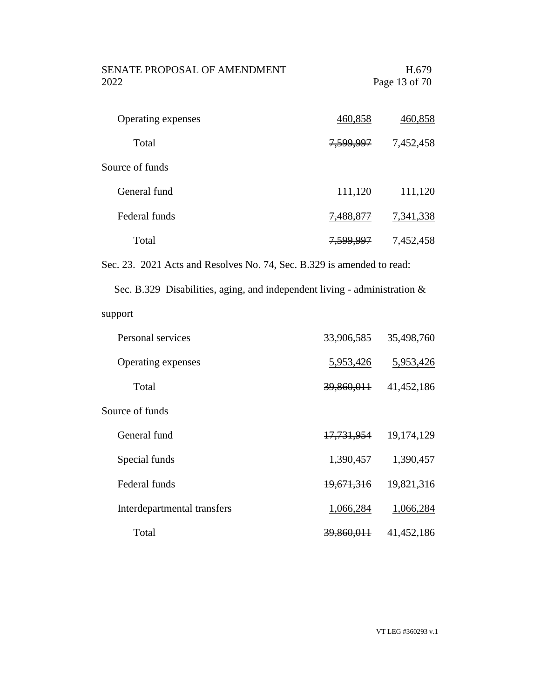| SENATE PROPOSAL OF AMENDMENT | H.679         |
|------------------------------|---------------|
| 2022.                        | Page 13 of 70 |
|                              |               |

| Operating expenses | 460,858              | 460,858   |
|--------------------|----------------------|-----------|
| Total              | <del>7,599,997</del> | 7,452,458 |
| Source of funds    |                      |           |
| General fund       | 111,120              | 111,120   |
| Federal funds      | <del>,488,877</del>  | 7,341,338 |
| Total              | 7,599.997            | 7,452,458 |

Sec. 23. 2021 Acts and Resolves No. 74, Sec. B.329 is amended to read:

Sec. B.329 Disabilities, aging, and independent living - administration & support

| Personal services           | 33,906,585            | 35,498,760 |
|-----------------------------|-----------------------|------------|
| Operating expenses          | 5,953,426             | 5,953,426  |
| Total                       | 39,860,011            | 41,452,186 |
| Source of funds             |                       |            |
| General fund                | 17,731,954            | 19,174,129 |
| Special funds               | 1,390,457             | 1,390,457  |
| Federal funds               | 19,671,316            | 19,821,316 |
| Interdepartmental transfers | 1,066,284             | 1,066,284  |
| Total                       | <del>39,860,011</del> | 41,452,186 |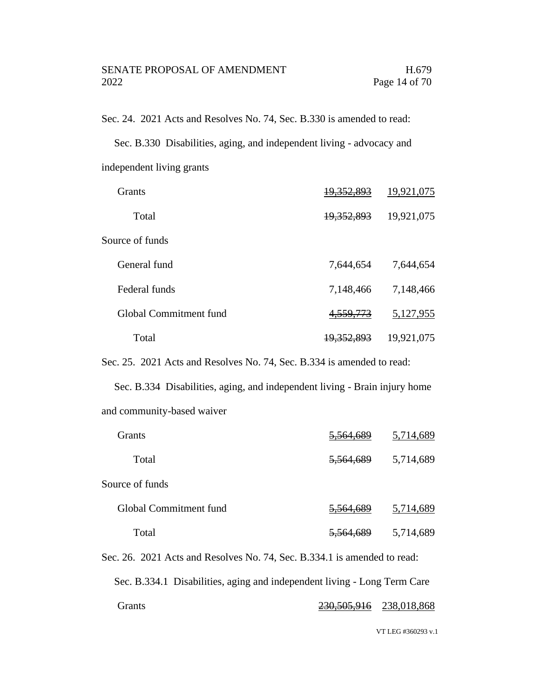Sec. 24. 2021 Acts and Resolves No. 74, Sec. B.330 is amended to read:

Sec. B.330 Disabilities, aging, and independent living - advocacy and independent living grants

| <b>Grants</b>          | 19,352,893        | 19,921,075 |
|------------------------|-------------------|------------|
| Total                  | 19,352,893        | 19,921,075 |
| Source of funds        |                   |            |
| General fund           | 7,644,654         | 7,644,654  |
| Federal funds          | 7,148,466         | 7,148,466  |
| Global Commitment fund | 4, 559, 773       | 5,127,955  |
| Total                  | <u>19,352,893</u> | 19,921,075 |

Sec. 25. 2021 Acts and Resolves No. 74, Sec. B.334 is amended to read:

Sec. B.334 Disabilities, aging, and independent living - Brain injury home and community-based waiver

| <b>Grants</b>                                                            | <del>5.564.689</del> | 5,714,689 |
|--------------------------------------------------------------------------|----------------------|-----------|
| Total                                                                    | <del>5,564,689</del> | 5,714,689 |
| Source of funds                                                          |                      |           |
| Global Commitment fund                                                   | 5,564,689            | 5,714,689 |
| Total                                                                    | 5,564,689            | 5,714,689 |
| Sec. 26. 2021 Acts and Resolves No. 74, Sec. B.334.1 is amended to read: |                      |           |

Sec. B.334.1 Disabilities, aging and independent living - Long Term Care Grants 230,505,916 238,018,868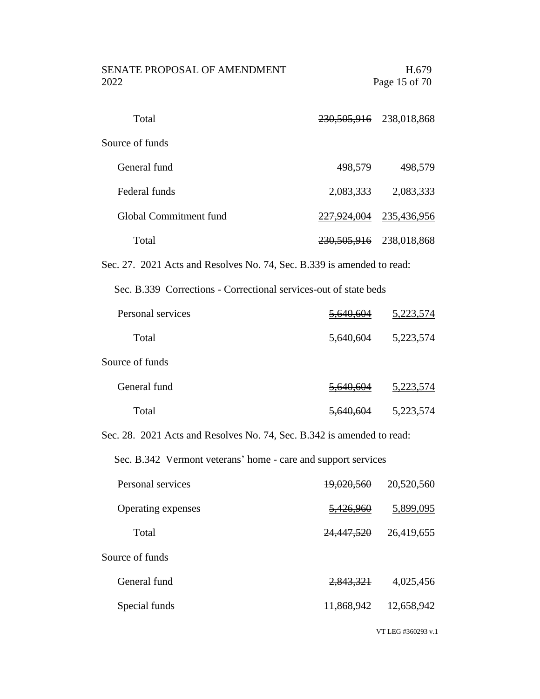| SENATE PROPOSAL OF AMENDMENT<br>2022                                   |                       | H.679<br>Page 15 of 70         |
|------------------------------------------------------------------------|-----------------------|--------------------------------|
| Total                                                                  |                       | 230, 505, 916 238, 018, 868    |
| Source of funds                                                        |                       |                                |
| General fund                                                           | 498,579               | 498,579                        |
| Federal funds                                                          | 2,083,333             | 2,083,333                      |
| Global Commitment fund                                                 |                       | <u>227,924,004</u> 235,436,956 |
| Total                                                                  |                       | 230, 505, 916 238, 018, 868    |
| Sec. 27. 2021 Acts and Resolves No. 74, Sec. B.339 is amended to read: |                       |                                |
| Sec. B.339 Corrections - Correctional services-out of state beds       |                       |                                |
| Personal services                                                      | <u>5,640,604</u>      | <u>5,223,574</u>               |
| Total                                                                  | <del>5,640,604</del>  | 5,223,574                      |
| Source of funds                                                        |                       |                                |
| General fund                                                           | <del>5,640,604</del>  | 5,223,574                      |
| Total                                                                  | <del>5,640,604</del>  | 5,223,574                      |
| Sec. 28. 2021 Acts and Resolves No. 74, Sec. B.342 is amended to read: |                       |                                |
| Sec. B.342 Vermont veterans' home - care and support services          |                       |                                |
| Personal services                                                      | <del>19,020,560</del> | 20,520,560                     |
| Operating expenses                                                     | <del>5,426,960</del>  | 5,899,095                      |
| Total                                                                  | 24,447,520            | 26,419,655                     |
| Source of funds                                                        |                       |                                |
| General fund                                                           | <del>2,843,321</del>  | 4,025,456                      |
| Special funds                                                          | <del>11,868,942</del> | 12,658,942                     |
|                                                                        |                       |                                |

VT LEG #360293 v.1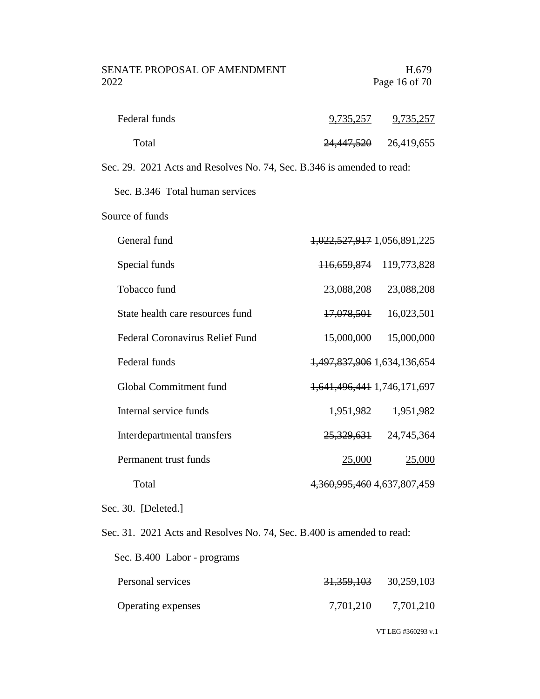| Federal funds | 9,735,257             | 9,735,257  |
|---------------|-----------------------|------------|
| Total         | <del>24,447,520</del> | 26,419,655 |

Sec. 29. 2021 Acts and Resolves No. 74, Sec. B.346 is amended to read:

Sec. B.346 Total human services

Source of funds

| General fund                           | 1,022,527,917 1,056,891,225           |
|----------------------------------------|---------------------------------------|
| Special funds                          | 119,773,828<br><del>116,659,874</del> |
| Tobacco fund                           | 23,088,208<br>23,088,208              |
| State health care resources fund       | 16,023,501<br><del>17,078,501</del>   |
| <b>Federal Coronavirus Relief Fund</b> | 15,000,000<br>15,000,000              |
| Federal funds                          | 1,497,837,906 1,634,136,654           |
| Global Commitment fund                 | 1,641,496,441 1,746,171,697           |
| Internal service funds                 | 1,951,982<br>1,951,982                |
| Interdepartmental transfers            | 25,329,631<br>24,745,364              |
| Permanent trust funds                  | 25,000<br>25,000                      |
| Total                                  | 4, 360, 995, 460 4, 637, 807, 459     |

Sec. 30. [Deleted.]

Sec. 31. 2021 Acts and Resolves No. 74, Sec. B.400 is amended to read:

| Sec. B.400 Labor - programs |                       |            |
|-----------------------------|-----------------------|------------|
| Personal services           | <del>31,359,103</del> | 30,259,103 |
| Operating expenses          | 7,701,210             | 7,701,210  |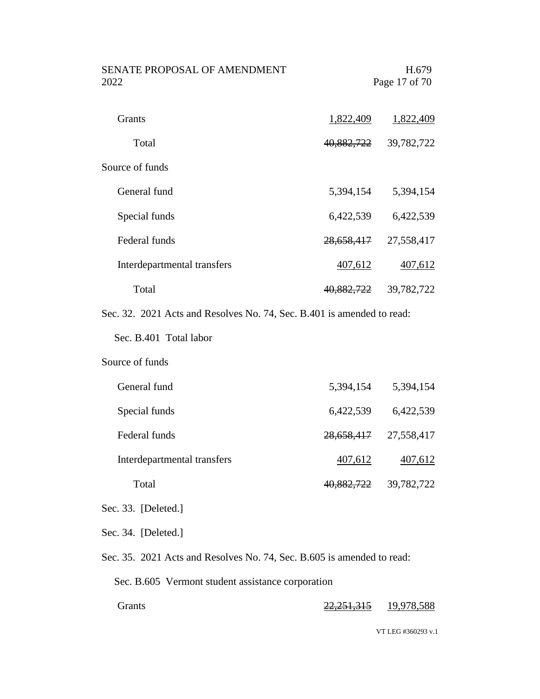| <b>SENATE PROPOSAL OF AMENDMENT</b><br>2022                            |                       | H.679<br>Page 17 of 70 |
|------------------------------------------------------------------------|-----------------------|------------------------|
| <b>Grants</b>                                                          | 1,822,409             | 1,822,409              |
| Total                                                                  | <del>40,882,722</del> | 39,782,722             |
| Source of funds                                                        |                       |                        |
| General fund                                                           | 5,394,154             | 5,394,154              |
| Special funds                                                          | 6,422,539             | 6,422,539              |
| Federal funds                                                          | <del>28,658,417</del> | 27,558,417             |
| Interdepartmental transfers                                            | 407,612               | 407,612                |
| Total                                                                  | 40,882,722            | 39,782,722             |
| Sec. 32. 2021 Acts and Resolves No. 74, Sec. B.401 is amended to read: |                       |                        |
| Sec. B.401 Total labor                                                 |                       |                        |
| Source of funds                                                        |                       |                        |
| General fund                                                           | 5,394,154             | 5,394,154              |
| Special funds                                                          | 6,422,539             | 6,422,539              |
| Federal funds                                                          | <del>28,658,417</del> | 27,558,417             |
| Interdepartmental transfers                                            | 407,612               | 407,612                |
| Total                                                                  | 40,882,722            | 39,782,722             |
| Sec. 33. [Deleted.]                                                    |                       |                        |
| Sec. 34. [Deleted.]                                                    |                       |                        |
| Sec. 35. 2021 Acts and Resolves No. 74, Sec. B.605 is amended to read: |                       |                        |

Sec. B.605 Vermont student assistance corporation

Grants 22,251,315 19,978,588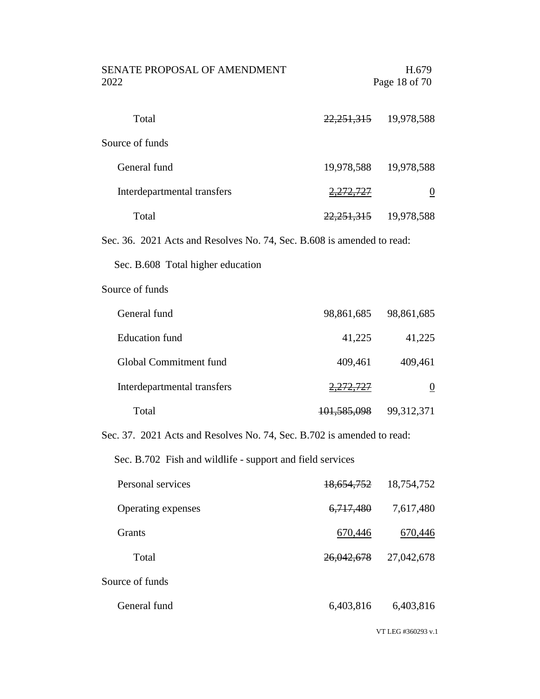| SENATE PROPOSAL OF AMENDMENT<br>2022                                   |                       | H.679<br>Page 18 of 70    |
|------------------------------------------------------------------------|-----------------------|---------------------------|
| Total                                                                  |                       | 22, 251, 315 19, 978, 588 |
| Source of funds                                                        |                       |                           |
| General fund                                                           |                       | 19,978,588 19,978,588     |
| Interdepartmental transfers                                            | 2,272,727             | $\overline{0}$            |
| Total                                                                  |                       | 22, 251, 315 19, 978, 588 |
| Sec. 36. 2021 Acts and Resolves No. 74, Sec. B.608 is amended to read: |                       |                           |
| Sec. B.608 Total higher education                                      |                       |                           |
| Source of funds                                                        |                       |                           |
| General fund                                                           | 98,861,685            | 98,861,685                |
| <b>Education</b> fund                                                  | 41,225                | 41,225                    |
| Global Commitment fund                                                 | 409,461               | 409,461                   |
| Interdepartmental transfers                                            | <del>2,272,727</del>  | $\underline{0}$           |
| Total                                                                  | 101,585,098           | 99,312,371                |
| Sec. 37. 2021 Acts and Resolves No. 74, Sec. B.702 is amended to read: |                       |                           |
| Sec. B.702 Fish and wildlife - support and field services              |                       |                           |
| Personal services                                                      | <del>18,654,752</del> | 18,754,752                |
| Operating expenses                                                     | <del>6,717,480</del>  | 7,617,480                 |
| Grants                                                                 | <u>670,446</u>        | 670,446                   |
| Total                                                                  | <del>26,042,678</del> | 27,042,678                |
| Source of funds                                                        |                       |                           |
| General fund                                                           | 6,403,816             | 6,403,816                 |
|                                                                        |                       | VT LEG #360293 v.1        |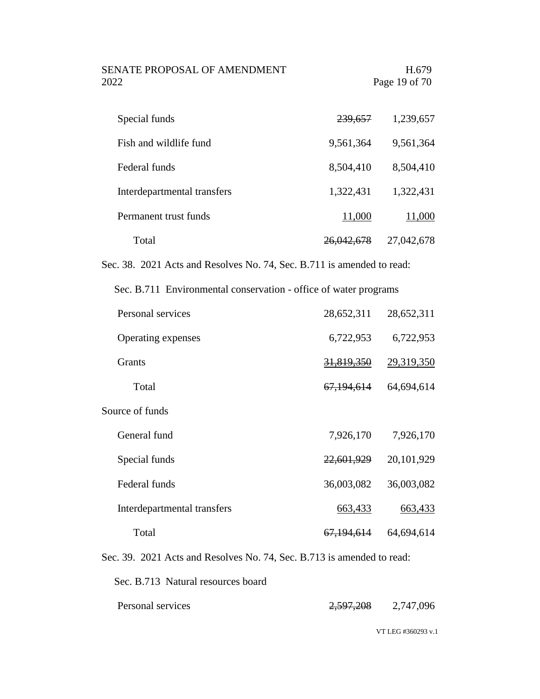SENATE PROPOSAL OF AMENDMENT H.679 2022 Page 19 of 70

| Special funds               | <del>239,657</del>    | 1,239,657  |
|-----------------------------|-----------------------|------------|
| Fish and wildlife fund      | 9,561,364             | 9,561,364  |
| Federal funds               | 8,504,410             | 8,504,410  |
| Interdepartmental transfers | 1,322,431             | 1,322,431  |
| Permanent trust funds       | 11,000                | 11,000     |
| Total                       | <del>26,042,678</del> | 27,042,678 |

Sec. 38. 2021 Acts and Resolves No. 74, Sec. B.711 is amended to read:

Sec. B.711 Environmental conservation - office of water programs

| Personal services           | 28,652,311            | 28,652,311 |
|-----------------------------|-----------------------|------------|
| Operating expenses          | 6,722,953             | 6,722,953  |
| <b>Grants</b>               | 31,819,350            | 29,319,350 |
| Total                       | 67,194,614            | 64,694,614 |
| Source of funds             |                       |            |
| General fund                | 7,926,170             | 7,926,170  |
| Special funds               | 22,601,929            | 20,101,929 |
| Federal funds               | 36,003,082            | 36,003,082 |
| Interdepartmental transfers | 663,433               | 663,433    |
| Total                       | <del>67,194,614</del> | 64,694,614 |

Sec. 39. 2021 Acts and Resolves No. 74, Sec. B.713 is amended to read:

Sec. B.713 Natural resources board

Personal services 2,597,208 2,747,096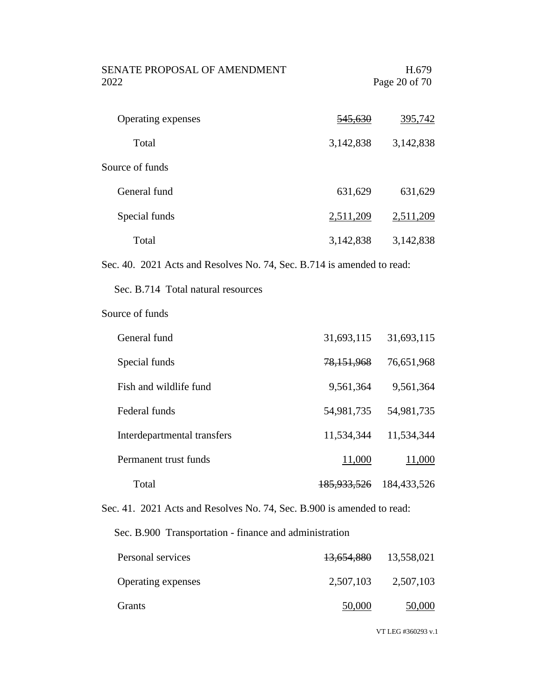| <b>SENATE PROPOSAL OF AMENDMENT</b><br>2022                            |                    | H.679<br>Page 20 of 70 |
|------------------------------------------------------------------------|--------------------|------------------------|
| Operating expenses                                                     | <del>545,630</del> | 395,742                |
| Total                                                                  | 3,142,838          | 3,142,838              |
| Source of funds                                                        |                    |                        |
| General fund                                                           | 631,629            | 631,629                |
| Special funds                                                          | 2,511,209          | 2,511,209              |
| Total                                                                  | 3,142,838          | 3,142,838              |
| Sec. 40. 2021 Acts and Resolves No. 74, Sec. B.714 is amended to read: |                    |                        |
| Sec. B.714 Total natural resources                                     |                    |                        |

Source of funds

| General fund                | 31,693,115             | 31,693,115  |
|-----------------------------|------------------------|-------------|
| Special funds               | 78,151,968             | 76,651,968  |
| Fish and wildlife fund      | 9,561,364              | 9,561,364   |
| Federal funds               | 54,981,735             | 54,981,735  |
| Interdepartmental transfers | 11,534,344             | 11,534,344  |
| Permanent trust funds       | 11,000                 | 11,000      |
| Total                       | <del>185,933,526</del> | 184,433,526 |

Sec. 41. 2021 Acts and Resolves No. 74, Sec. B.900 is amended to read:

Sec. B.900 Transportation - finance and administration

| Personal services         | 13,654,880 | 13,558,021 |
|---------------------------|------------|------------|
| <b>Operating expenses</b> | 2,507,103  | 2,507,103  |
| <b>Grants</b>             | 50,000     | 50,000     |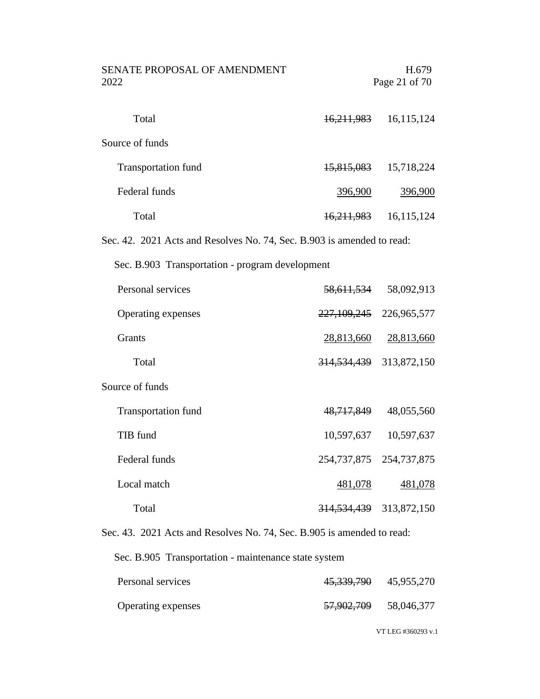| SENATE PROPOSAL OF AMENDMENT<br>2022                                   |                | H.679<br>Page 21 of 70      |
|------------------------------------------------------------------------|----------------|-----------------------------|
| Total                                                                  |                | 16, 211, 983 16, 115, 124   |
| Source of funds                                                        |                |                             |
| <b>Transportation fund</b>                                             |                | 15,815,083 15,718,224       |
| Federal funds                                                          | <u>396,900</u> | <u>396,900</u>              |
| Total                                                                  | 16,211,983     | 16,115,124                  |
| Sec. 42. 2021 Acts and Resolves No. 74, Sec. B.903 is amended to read: |                |                             |
| Sec. B.903 Transportation - program development                        |                |                             |
| Personal services                                                      |                | 58,611,534 58,092,913       |
| Operating expenses                                                     |                | 227, 109, 245 226, 965, 577 |
| Grants                                                                 |                | 28,813,660 28,813,660       |
| Total                                                                  |                | 314, 534, 439 313, 872, 150 |
| Source of funds                                                        |                |                             |
| <b>Transportation fund</b>                                             | 48,717,849     | 48,055,560                  |
| TIB fund                                                               |                | 10,597,637 10,597,637       |
| Federal funds                                                          |                | 254, 737, 875 254, 737, 875 |
| Local match                                                            | <u>481,078</u> | <u>481,078</u>              |
| Total                                                                  |                | 314, 534, 439 313, 872, 150 |
| Sec. 43. 2021 Acts and Resolves No. 74, Sec. B.905 is amended to read: |                |                             |

Sec. B.905 Transportation - maintenance state system

| Personal services  | 45, 339, 790 45, 955, 270 |            |
|--------------------|---------------------------|------------|
| Operating expenses | <del>57,902,709</del>     | 58,046,377 |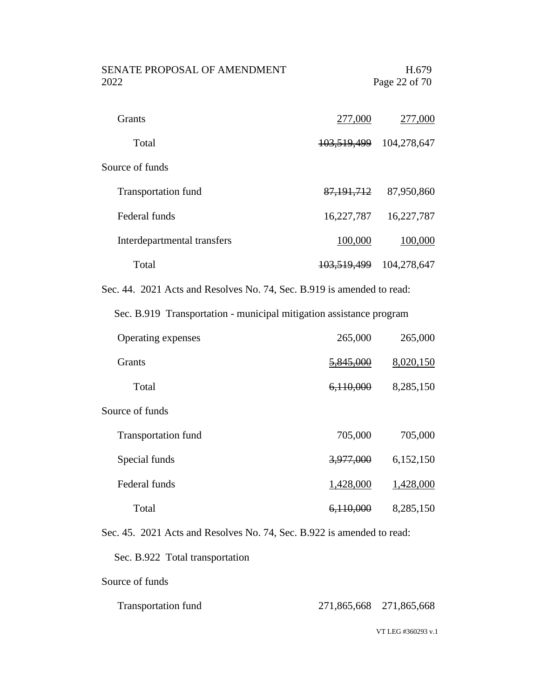| SENATE PROPOSAL OF AMENDMENT | H.679         |
|------------------------------|---------------|
| 2022.                        | Page 22 of 70 |
|                              |               |

| <b>Grants</b>               | 277,000                | 277,000     |
|-----------------------------|------------------------|-------------|
| Total                       | <del>103,519,499</del> | 104,278,647 |
| Source of funds             |                        |             |
| <b>Transportation fund</b>  | 87, 191, 712           | 87,950,860  |
| Federal funds               | 16,227,787             | 16,227,787  |
| Interdepartmental transfers | 100,000                | 100,000     |
| Total                       | 103,519,499            | 104,278,647 |

Sec. 44. 2021 Acts and Resolves No. 74, Sec. B.919 is amended to read:

Sec. B.919 Transportation - municipal mitigation assistance program

| Operating expenses         | 265,000   | 265,000   |
|----------------------------|-----------|-----------|
| <b>Grants</b>              | 5,845,000 | 8,020,150 |
| Total                      | 6,110,000 | 8,285,150 |
| Source of funds            |           |           |
| <b>Transportation fund</b> | 705,000   | 705,000   |
| Special funds              | 3,977,000 | 6,152,150 |
| Federal funds              | 1,428,000 | 1,428,000 |
| Total                      | 6,110,000 | 8,285,150 |

Sec. 45. 2021 Acts and Resolves No. 74, Sec. B.922 is amended to read:

Sec. B.922 Total transportation

Source of funds

| <b>Transportation fund</b> | 271,865,668 271,865,668 |  |
|----------------------------|-------------------------|--|
|                            |                         |  |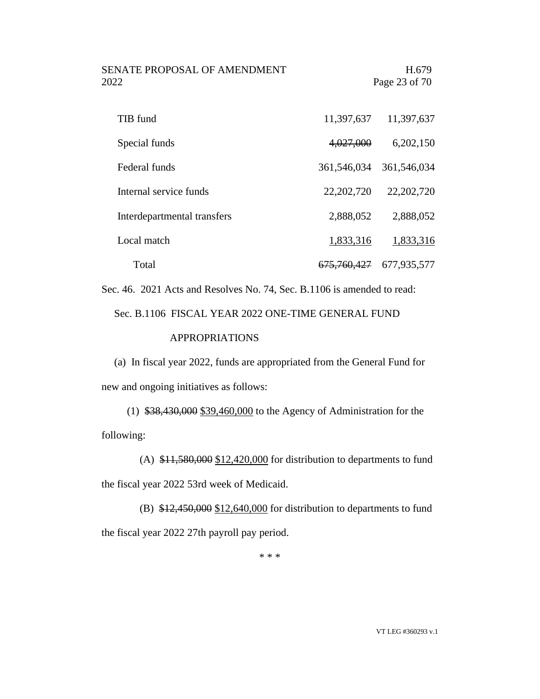SENATE PROPOSAL OF AMENDMENT FRAME H.679 2022 Page 23 of 70

| TIB fund                    | 11,397,637             | 11,397,637   |
|-----------------------------|------------------------|--------------|
| Special funds               | 4,027,000              | 6,202,150    |
| Federal funds               | 361,546,034            | 361,546,034  |
| Internal service funds      | 22, 202, 720           | 22, 202, 720 |
| Interdepartmental transfers | 2,888,052              | 2,888,052    |
| Local match                 | 1,833,316              | 1,833,316    |
| Total                       | <del>675,760,427</del> | 677,935,577  |

Sec. 46. 2021 Acts and Resolves No. 74, Sec. B.1106 is amended to read:

Sec. B.1106 FISCAL YEAR 2022 ONE-TIME GENERAL FUND

### APPROPRIATIONS

(a) In fiscal year 2022, funds are appropriated from the General Fund for new and ongoing initiatives as follows:

(1) \$38,430,000 \$39,460,000 to the Agency of Administration for the following:

(A)  $$11,580,000$   $$12,420,000$  for distribution to departments to fund the fiscal year 2022 53rd week of Medicaid.

(B)  $$12,450,000$   $$12,640,000$  for distribution to departments to fund the fiscal year 2022 27th payroll pay period.

\* \* \*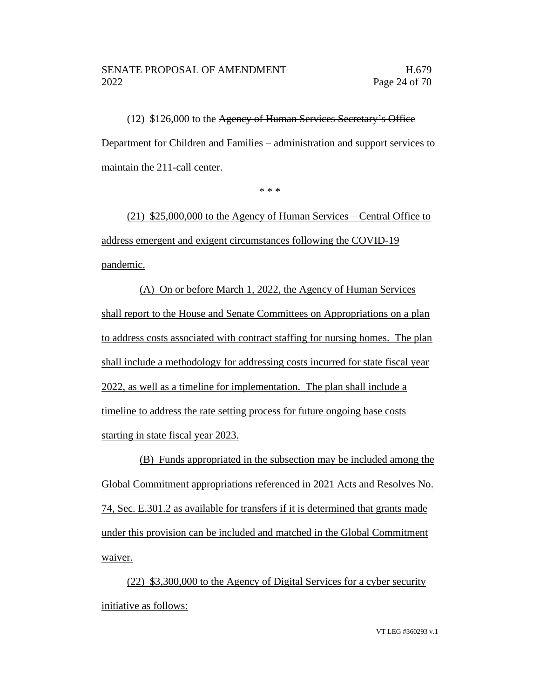### SENATE PROPOSAL OF AMENDMENT FL679 2022 Page 24 of 70

(12) \$126,000 to the Agency of Human Services Secretary's Office Department for Children and Families – administration and support services to maintain the 211-call center.

\* \* \*

(21) \$25,000,000 to the Agency of Human Services – Central Office to address emergent and exigent circumstances following the COVID-19 pandemic.

(A) On or before March 1, 2022, the Agency of Human Services shall report to the House and Senate Committees on Appropriations on a plan to address costs associated with contract staffing for nursing homes. The plan shall include a methodology for addressing costs incurred for state fiscal year 2022, as well as a timeline for implementation. The plan shall include a timeline to address the rate setting process for future ongoing base costs starting in state fiscal year 2023.

(B) Funds appropriated in the subsection may be included among the Global Commitment appropriations referenced in 2021 Acts and Resolves No. 74, Sec. E.301.2 as available for transfers if it is determined that grants made under this provision can be included and matched in the Global Commitment waiver.

(22) \$3,300,000 to the Agency of Digital Services for a cyber security initiative as follows: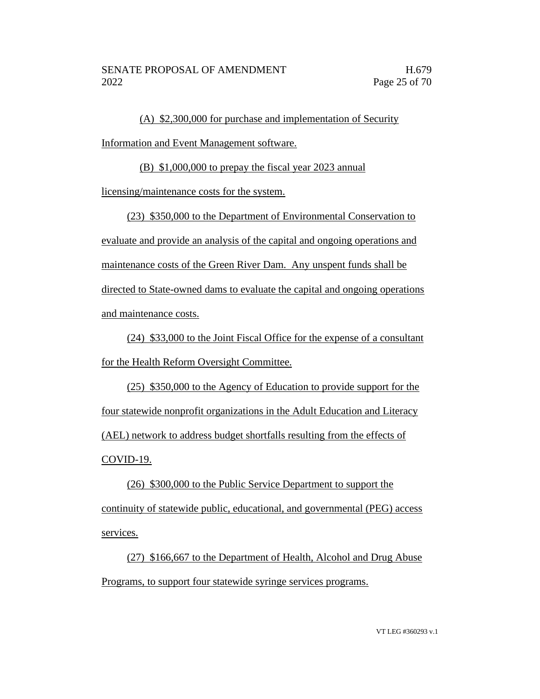(A) \$2,300,000 for purchase and implementation of Security Information and Event Management software.

(B) \$1,000,000 to prepay the fiscal year 2023 annual

licensing/maintenance costs for the system.

(23) \$350,000 to the Department of Environmental Conservation to evaluate and provide an analysis of the capital and ongoing operations and maintenance costs of the Green River Dam. Any unspent funds shall be directed to State-owned dams to evaluate the capital and ongoing operations and maintenance costs.

(24) \$33,000 to the Joint Fiscal Office for the expense of a consultant for the Health Reform Oversight Committee.

(25) \$350,000 to the Agency of Education to provide support for the four statewide nonprofit organizations in the Adult Education and Literacy (AEL) network to address budget shortfalls resulting from the effects of COVID-19.

(26) \$300,000 to the Public Service Department to support the continuity of statewide public, educational, and governmental (PEG) access services.

(27) \$166,667 to the Department of Health, Alcohol and Drug Abuse Programs, to support four statewide syringe services programs.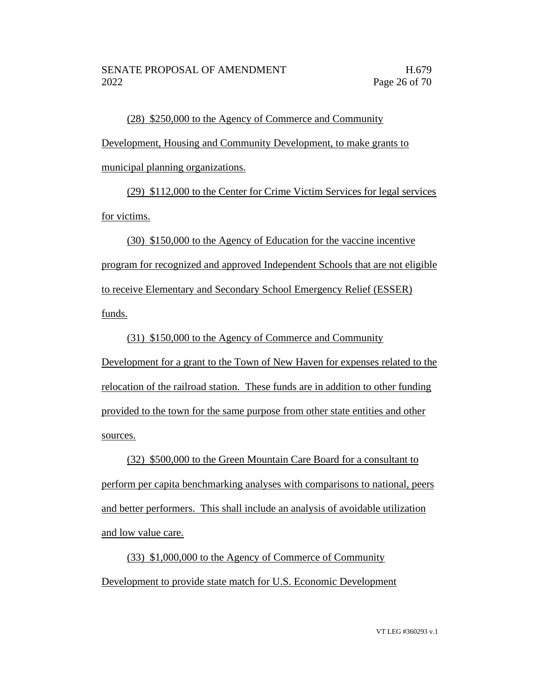(28) \$250,000 to the Agency of Commerce and Community Development, Housing and Community Development, to make grants to municipal planning organizations.

(29) \$112,000 to the Center for Crime Victim Services for legal services for victims.

(30) \$150,000 to the Agency of Education for the vaccine incentive program for recognized and approved Independent Schools that are not eligible to receive Elementary and Secondary School Emergency Relief (ESSER) funds.

(31) \$150,000 to the Agency of Commerce and Community

Development for a grant to the Town of New Haven for expenses related to the relocation of the railroad station. These funds are in addition to other funding provided to the town for the same purpose from other state entities and other sources.

(32) \$500,000 to the Green Mountain Care Board for a consultant to perform per capita benchmarking analyses with comparisons to national, peers and better performers. This shall include an analysis of avoidable utilization and low value care.

(33) \$1,000,000 to the Agency of Commerce of Community Development to provide state match for U.S. Economic Development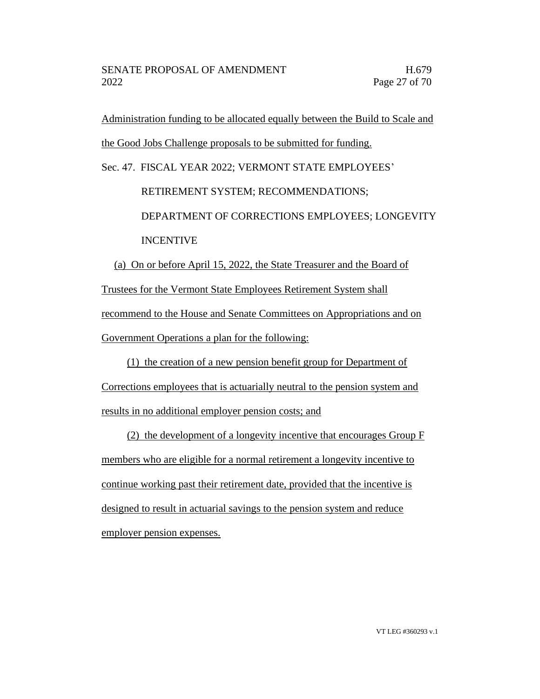Administration funding to be allocated equally between the Build to Scale and the Good Jobs Challenge proposals to be submitted for funding.

Sec. 47. FISCAL YEAR 2022; VERMONT STATE EMPLOYEES'

 RETIREMENT SYSTEM; RECOMMENDATIONS; DEPARTMENT OF CORRECTIONS EMPLOYEES; LONGEVITY INCENTIVE

(a) On or before April 15, 2022, the State Treasurer and the Board of Trustees for the Vermont State Employees Retirement System shall recommend to the House and Senate Committees on Appropriations and on Government Operations a plan for the following:

(1) the creation of a new pension benefit group for Department of Corrections employees that is actuarially neutral to the pension system and results in no additional employer pension costs; and

(2) the development of a longevity incentive that encourages Group F members who are eligible for a normal retirement a longevity incentive to continue working past their retirement date, provided that the incentive is designed to result in actuarial savings to the pension system and reduce employer pension expenses.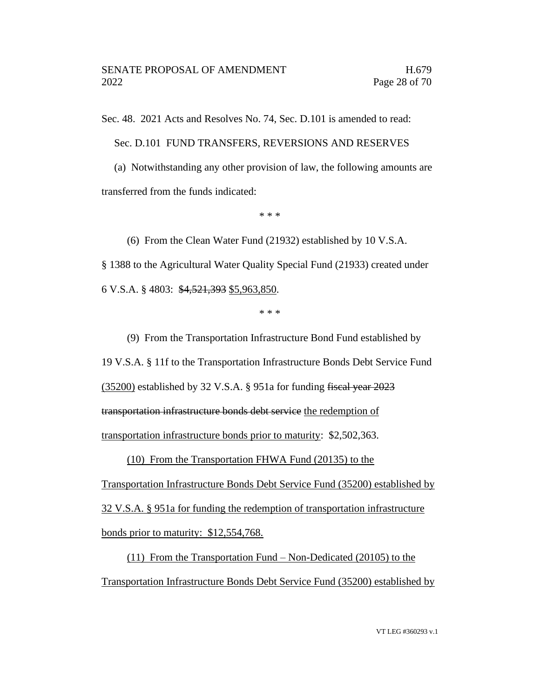Sec. 48. 2021 Acts and Resolves No. 74, Sec. D.101 is amended to read:

Sec. D.101 FUND TRANSFERS, REVERSIONS AND RESERVES

(a) Notwithstanding any other provision of law, the following amounts are transferred from the funds indicated:

\* \* \*

(6) From the Clean Water Fund (21932) established by 10 V.S.A. § 1388 to the Agricultural Water Quality Special Fund (21933) created under 6 V.S.A. § 4803: \$4,521,393 \$5,963,850.

\* \* \*

(9) From the Transportation Infrastructure Bond Fund established by 19 V.S.A. § 11f to the Transportation Infrastructure Bonds Debt Service Fund (35200) established by 32 V.S.A. § 951a for funding fiscal year 2023 transportation infrastructure bonds debt service the redemption of transportation infrastructure bonds prior to maturity: \$2,502,363.

(10) From the Transportation FHWA Fund (20135) to the

Transportation Infrastructure Bonds Debt Service Fund (35200) established by 32 V.S.A. § 951a for funding the redemption of transportation infrastructure bonds prior to maturity: \$12,554,768.

(11) From the Transportation Fund – Non-Dedicated (20105) to the Transportation Infrastructure Bonds Debt Service Fund (35200) established by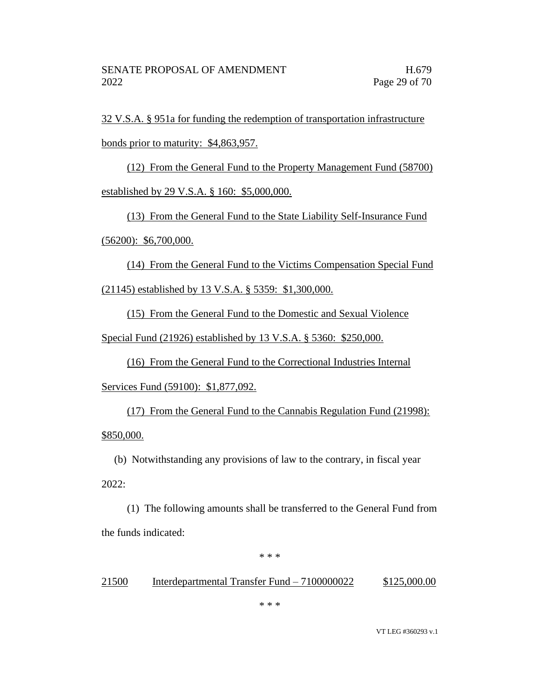32 V.S.A. § 951a for funding the redemption of transportation infrastructure

bonds prior to maturity: \$4,863,957.

(12) From the General Fund to the Property Management Fund (58700) established by 29 V.S.A. § 160: \$5,000,000.

(13) From the General Fund to the State Liability Self-Insurance Fund

 $(56200):$  \$6,700,000.

(14) From the General Fund to the Victims Compensation Special Fund

(21145) established by 13 V.S.A. § 5359: \$1,300,000.

(15) From the General Fund to the Domestic and Sexual Violence

Special Fund (21926) established by 13 V.S.A. § 5360: \$250,000.

(16) From the General Fund to the Correctional Industries Internal Services Fund (59100): \$1,877,092.

(17) From the General Fund to the Cannabis Regulation Fund (21998): \$850,000.

(b) Notwithstanding any provisions of law to the contrary, in fiscal year 2022:

(1) The following amounts shall be transferred to the General Fund from the funds indicated:

\* \* \*

### 21500 Interdepartmental Transfer Fund – 7100000022 \$125,000.00

\* \* \*

VT LEG #360293 v.1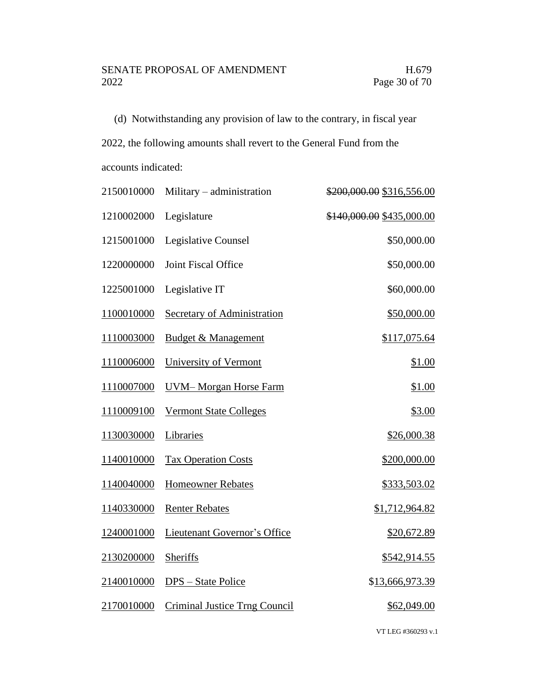(d) Notwithstanding any provision of law to the contrary, in fiscal year

2022, the following amounts shall revert to the General Fund from the

accounts indicated:

| 2150010000 | Military - administration            | \$200,000.00 \$316,556.00 |
|------------|--------------------------------------|---------------------------|
| 1210002000 | Legislature                          | \$140,000.00 \$435,000.00 |
| 1215001000 | Legislative Counsel                  | \$50,000.00               |
| 1220000000 | Joint Fiscal Office                  | \$50,000.00               |
| 1225001000 | Legislative IT                       | \$60,000.00               |
| 1100010000 | Secretary of Administration          | \$50,000.00               |
| 1110003000 | <b>Budget &amp; Management</b>       | \$117,075.64              |
| 1110006000 | University of Vermont                | \$1.00                    |
| 1110007000 | <b>UVM-Morgan Horse Farm</b>         | \$1.00                    |
| 1110009100 | <b>Vermont State Colleges</b>        | \$3.00                    |
| 1130030000 | Libraries                            | \$26,000.38               |
| 1140010000 | <b>Tax Operation Costs</b>           | \$200,000.00              |
| 1140040000 | <b>Homeowner Rebates</b>             | \$333,503.02              |
| 1140330000 | <b>Renter Rebates</b>                | \$1,712,964.82            |
| 1240001000 | <b>Lieutenant Governor's Office</b>  | \$20,672.89               |
| 2130200000 | Sheriffs                             | <u>\$542,914.55</u>       |
| 2140010000 | DPS – State Police                   | \$13,666,973.39           |
| 2170010000 | <b>Criminal Justice Trng Council</b> | \$62,049.00               |
|            |                                      | VT LEG #360293 v.1        |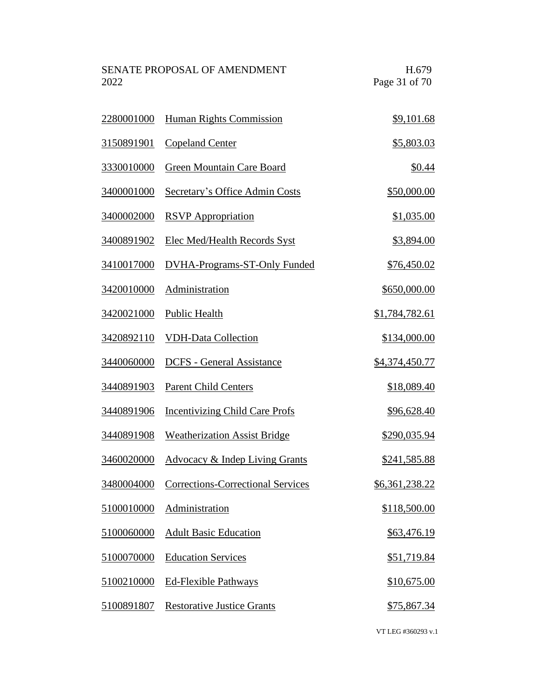| SENATE PROPOSAL OF AMENDMENT | H.679         |
|------------------------------|---------------|
| 2022                         | Page 31 of 70 |

| 2280001000        | <b>Human Rights Commission</b>            | \$9,101.68         |
|-------------------|-------------------------------------------|--------------------|
| <u>3150891901</u> | <b>Copeland Center</b>                    | \$5,803.03         |
| 3330010000        | Green Mountain Care Board                 | \$0.44             |
| 3400001000        | <b>Secretary's Office Admin Costs</b>     | \$50,000.00        |
| 3400002000        | <b>RSVP</b> Appropriation                 | \$1,035.00         |
| 3400891902        | <b>Elec Med/Health Records Syst</b>       | \$3,894.00         |
| <u>3410017000</u> | <b>DVHA-Programs-ST-Only Funded</b>       | <u>\$76,450.02</u> |
| 3420010000        | Administration                            | \$650,000.00       |
| 3420021000        | <b>Public Health</b>                      | \$1,784,782.61     |
| 3420892110        | <b>VDH-Data Collection</b>                | \$134,000.00       |
| 3440060000        | <b>DCFS</b> - General Assistance          | \$4,374,450.77     |
| <u>3440891903</u> | <b>Parent Child Centers</b>               | \$18,089.40        |
| 3440891906        | <b>Incentivizing Child Care Profs</b>     | \$96,628.40        |
| 3440891908        | <b>Weatherization Assist Bridge</b>       | \$290,035.94       |
| 3460020000        | <b>Advocacy &amp; Indep Living Grants</b> | \$241,585.88       |
| 3480004000        | <b>Corrections-Correctional Services</b>  | \$6,361,238.22     |
| 5100010000        | Administration                            | \$118,500.00       |
| 5100060000        | <b>Adult Basic Education</b>              | \$63,476.19        |
| 5100070000        | <b>Education Services</b>                 | <u>\$51,719.84</u> |
| 5100210000        | <b>Ed-Flexible Pathways</b>               | \$10,675.00        |
| 5100891807        | <b>Restorative Justice Grants</b>         | \$75,867.34        |
|                   |                                           |                    |

VT LEG #360293 v.1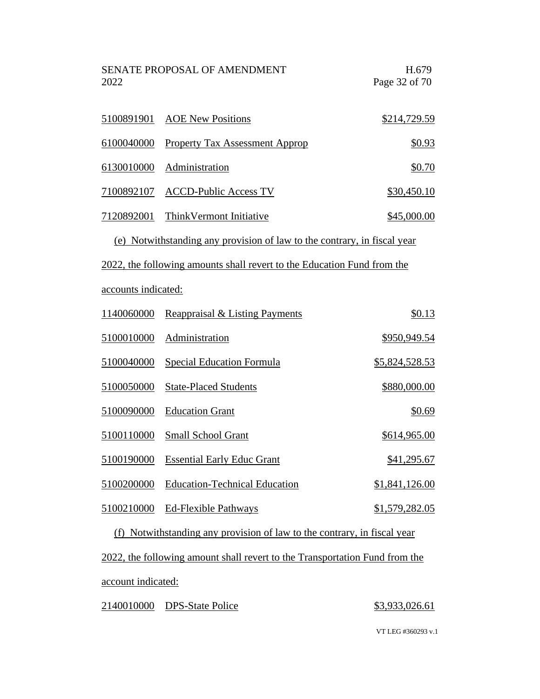| 2022                                                                        | <b>SENATE PROPOSAL OF AMENDMENT</b>                                      | H.679<br>Page 32 of 70 |
|-----------------------------------------------------------------------------|--------------------------------------------------------------------------|------------------------|
| 5100891901                                                                  | <b>AOE</b> New Positions                                                 | \$214,729.59           |
| 6100040000                                                                  | <b>Property Tax Assessment Approp</b>                                    | \$0.93                 |
| 6130010000                                                                  | Administration                                                           | \$0.70                 |
| 7100892107                                                                  | <b>ACCD-Public Access TV</b>                                             | \$30,450.10            |
| 7120892001                                                                  | Think Vermont Initiative                                                 | \$45,000.00            |
|                                                                             | (e) Notwithstanding any provision of law to the contrary, in fiscal year |                        |
|                                                                             | 2022, the following amounts shall revert to the Education Fund from the  |                        |
| accounts indicated:                                                         |                                                                          |                        |
| 1140060000                                                                  | Reappraisal & Listing Payments                                           | \$0.13                 |
| 5100010000                                                                  | Administration                                                           | \$950,949.54           |
| 5100040000                                                                  | <b>Special Education Formula</b>                                         | \$5,824,528.53         |
| 5100050000                                                                  | <b>State-Placed Students</b>                                             | \$880,000.00           |
| 5100090000                                                                  | <b>Education Grant</b>                                                   | \$0.69                 |
| 5100110000                                                                  | <b>Small School Grant</b>                                                | \$614,965.00           |
| 5100190000                                                                  | <b>Essential Early Educ Grant</b>                                        | \$41,295.67            |
| 5100200000                                                                  | <b>Education-Technical Education</b>                                     | \$1,841,126.00         |
| 5100210000                                                                  | <b>Ed-Flexible Pathways</b>                                              | \$1,579,282.05         |
| (f) Notwithstanding any provision of law to the contrary, in fiscal year    |                                                                          |                        |
| 2022, the following amount shall revert to the Transportation Fund from the |                                                                          |                        |
| account indicated:                                                          |                                                                          |                        |
| 2140010000                                                                  | <b>DPS-State Police</b>                                                  | \$3,933,026.61         |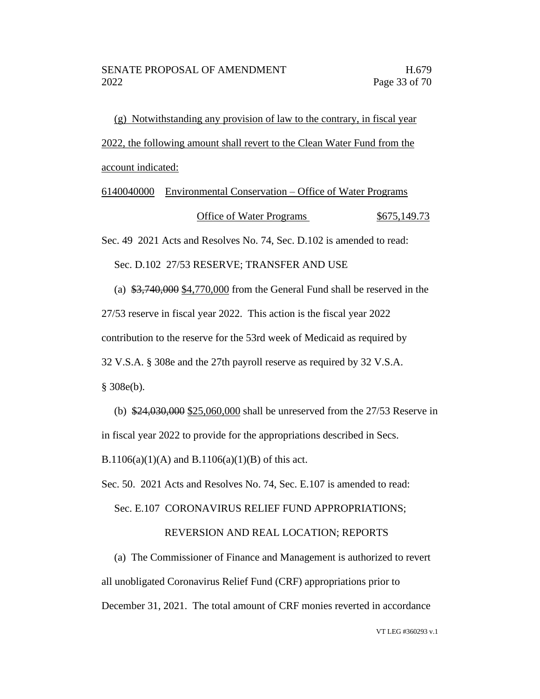(g) Notwithstanding any provision of law to the contrary, in fiscal year 2022, the following amount shall revert to the Clean Water Fund from the account indicated:

# 6140040000 Environmental Conservation – Office of Water Programs Office of Water Programs  $$675,149.73$

Sec. 49 2021 Acts and Resolves No. 74, Sec. D.102 is amended to read:

Sec. D.102 27/53 RESERVE; TRANSFER AND USE

(a) \$3,740,000 \$4,770,000 from the General Fund shall be reserved in the 27/53 reserve in fiscal year 2022. This action is the fiscal year 2022 contribution to the reserve for the 53rd week of Medicaid as required by 32 V.S.A. § 308e and the 27th payroll reserve as required by 32 V.S.A.  $§ 308e(b).$ 

(b) \$24,030,000 \$25,060,000 shall be unreserved from the 27/53 Reserve in in fiscal year 2022 to provide for the appropriations described in Secs.

B.1106(a)(1)(A) and B.1106(a)(1)(B) of this act.

Sec. 50. 2021 Acts and Resolves No. 74, Sec. E.107 is amended to read:

Sec. E.107 CORONAVIRUS RELIEF FUND APPROPRIATIONS;

### REVERSION AND REAL LOCATION; REPORTS

(a) The Commissioner of Finance and Management is authorized to revert all unobligated Coronavirus Relief Fund (CRF) appropriations prior to December 31, 2021. The total amount of CRF monies reverted in accordance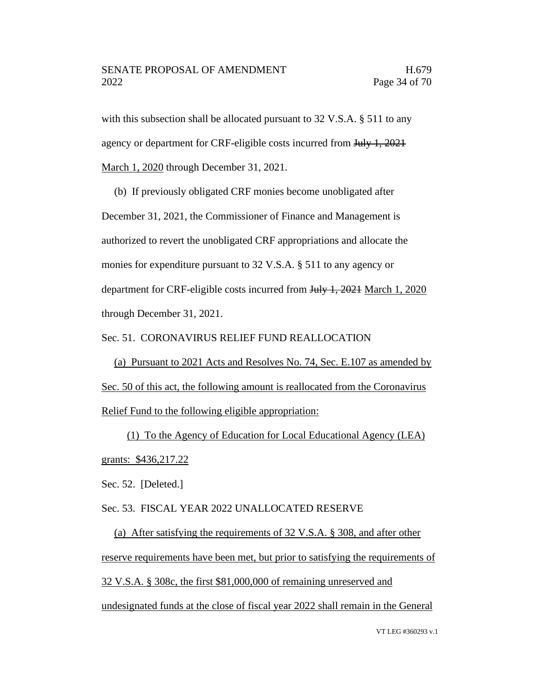with this subsection shall be allocated pursuant to 32 V.S.A. § 511 to any agency or department for CRF-eligible costs incurred from July 1, 2021 March 1, 2020 through December 31, 2021.

(b) If previously obligated CRF monies become unobligated after December 31, 2021, the Commissioner of Finance and Management is authorized to revert the unobligated CRF appropriations and allocate the monies for expenditure pursuant to 32 V.S.A. § 511 to any agency or department for CRF-eligible costs incurred from July 1, 2021 March 1, 2020 through December 31, 2021.

Sec. 51. CORONAVIRUS RELIEF FUND REALLOCATION

(a) Pursuant to 2021 Acts and Resolves No. 74, Sec. E.107 as amended by Sec. 50 of this act, the following amount is reallocated from the Coronavirus Relief Fund to the following eligible appropriation:

(1) To the Agency of Education for Local Educational Agency (LEA) grants: \$436,217.22

Sec. 52. [Deleted.]

Sec. 53. FISCAL YEAR 2022 UNALLOCATED RESERVE

(a) After satisfying the requirements of 32 V.S.A. § 308, and after other reserve requirements have been met, but prior to satisfying the requirements of 32 V.S.A. § 308c, the first \$81,000,000 of remaining unreserved and undesignated funds at the close of fiscal year 2022 shall remain in the General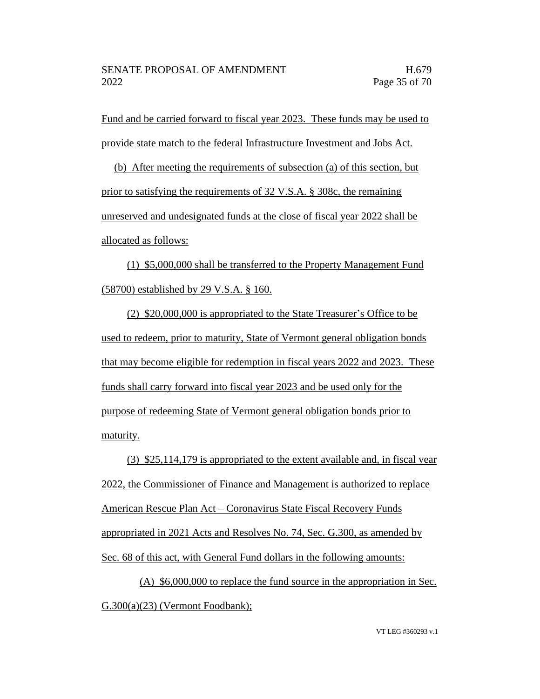Fund and be carried forward to fiscal year 2023. These funds may be used to provide state match to the federal Infrastructure Investment and Jobs Act.

(b) After meeting the requirements of subsection (a) of this section, but prior to satisfying the requirements of 32 V.S.A. § 308c, the remaining unreserved and undesignated funds at the close of fiscal year 2022 shall be allocated as follows:

(1) \$5,000,000 shall be transferred to the Property Management Fund (58700) established by 29 V.S.A. § 160.

(2) \$20,000,000 is appropriated to the State Treasurer's Office to be used to redeem, prior to maturity, State of Vermont general obligation bonds that may become eligible for redemption in fiscal years 2022 and 2023. These funds shall carry forward into fiscal year 2023 and be used only for the purpose of redeeming State of Vermont general obligation bonds prior to maturity.

(3) \$25,114,179 is appropriated to the extent available and, in fiscal year 2022, the Commissioner of Finance and Management is authorized to replace American Rescue Plan Act – Coronavirus State Fiscal Recovery Funds appropriated in 2021 Acts and Resolves No. 74, Sec. G.300, as amended by Sec. 68 of this act, with General Fund dollars in the following amounts:

(A) \$6,000,000 to replace the fund source in the appropriation in Sec. G.300(a)(23) (Vermont Foodbank);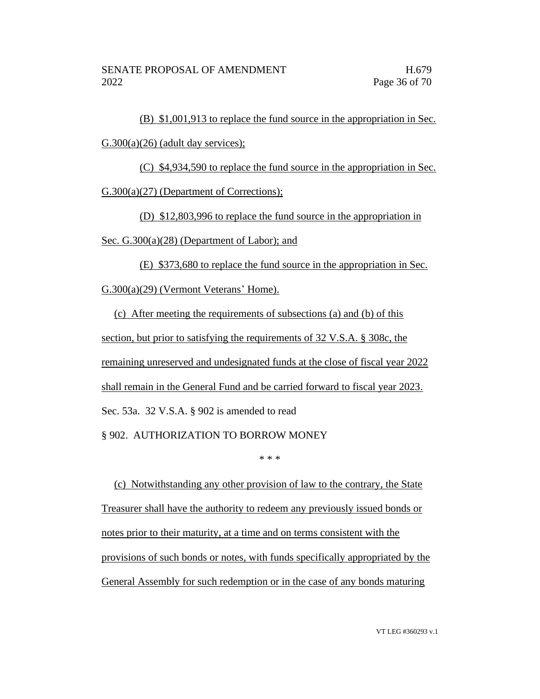(B) \$1,001,913 to replace the fund source in the appropriation in Sec.  $G.300(a)(26)$  (adult day services);

(C) \$4,934,590 to replace the fund source in the appropriation in Sec.

G.300(a)(27) (Department of Corrections);

(D) \$12,803,996 to replace the fund source in the appropriation in

Sec. G.300(a)(28) (Department of Labor); and

(E) \$373,680 to replace the fund source in the appropriation in Sec.

G.300(a)(29) (Vermont Veterans' Home).

(c) After meeting the requirements of subsections (a) and (b) of this section, but prior to satisfying the requirements of 32 V.S.A. § 308c, the remaining unreserved and undesignated funds at the close of fiscal year 2022 shall remain in the General Fund and be carried forward to fiscal year 2023. Sec. 53a. 32 V.S.A. § 902 is amended to read § 902. AUTHORIZATION TO BORROW MONEY

\* \* \*

(c) Notwithstanding any other provision of law to the contrary, the State Treasurer shall have the authority to redeem any previously issued bonds or notes prior to their maturity, at a time and on terms consistent with the provisions of such bonds or notes, with funds specifically appropriated by the General Assembly for such redemption or in the case of any bonds maturing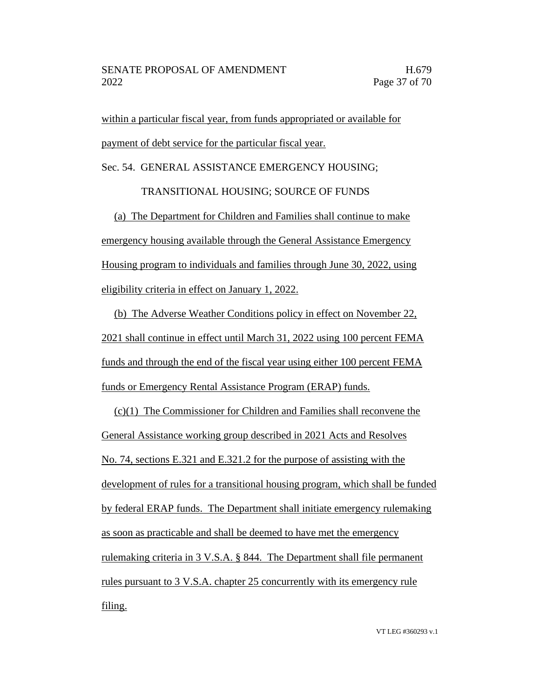within a particular fiscal year, from funds appropriated or available for payment of debt service for the particular fiscal year.

Sec. 54. GENERAL ASSISTANCE EMERGENCY HOUSING;

TRANSITIONAL HOUSING; SOURCE OF FUNDS

(a) The Department for Children and Families shall continue to make emergency housing available through the General Assistance Emergency Housing program to individuals and families through June 30, 2022, using eligibility criteria in effect on January 1, 2022.

(b) The Adverse Weather Conditions policy in effect on November 22, 2021 shall continue in effect until March 31, 2022 using 100 percent FEMA funds and through the end of the fiscal year using either 100 percent FEMA funds or Emergency Rental Assistance Program (ERAP) funds.

(c)(1) The Commissioner for Children and Families shall reconvene the General Assistance working group described in 2021 Acts and Resolves No. 74, sections E.321 and E.321.2 for the purpose of assisting with the development of rules for a transitional housing program, which shall be funded by federal ERAP funds. The Department shall initiate emergency rulemaking as soon as practicable and shall be deemed to have met the emergency rulemaking criteria in 3 V.S.A. § 844. The Department shall file permanent rules pursuant to 3 V.S.A. chapter 25 concurrently with its emergency rule filing.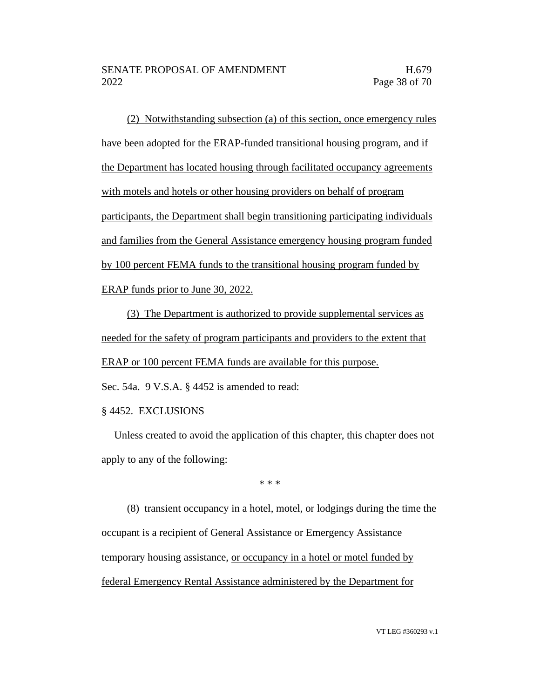(2) Notwithstanding subsection (a) of this section, once emergency rules have been adopted for the ERAP-funded transitional housing program, and if the Department has located housing through facilitated occupancy agreements with motels and hotels or other housing providers on behalf of program participants, the Department shall begin transitioning participating individuals and families from the General Assistance emergency housing program funded by 100 percent FEMA funds to the transitional housing program funded by ERAP funds prior to June 30, 2022.

(3) The Department is authorized to provide supplemental services as needed for the safety of program participants and providers to the extent that ERAP or 100 percent FEMA funds are available for this purpose.

Sec. 54a. 9 V.S.A. § 4452 is amended to read:

§ 4452. EXCLUSIONS

Unless created to avoid the application of this chapter, this chapter does not apply to any of the following:

\* \* \*

(8) transient occupancy in a hotel, motel, or lodgings during the time the occupant is a recipient of General Assistance or Emergency Assistance temporary housing assistance, or occupancy in a hotel or motel funded by federal Emergency Rental Assistance administered by the Department for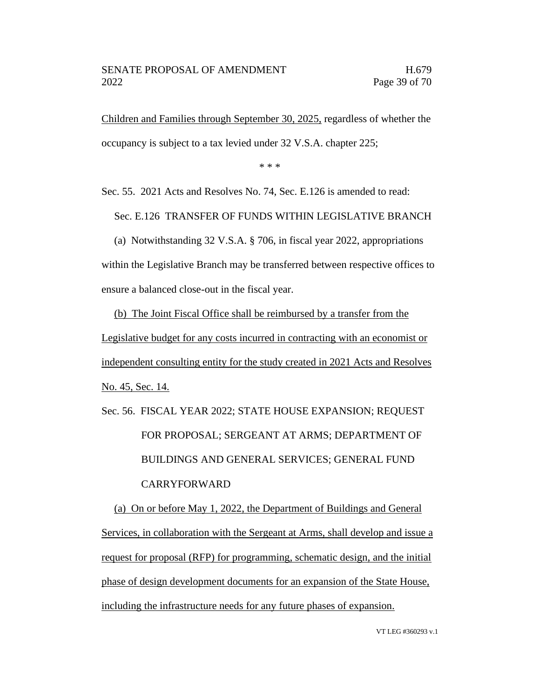Children and Families through September 30, 2025, regardless of whether the occupancy is subject to a tax levied under 32 V.S.A. chapter 225;

\* \* \*

Sec. 55. 2021 Acts and Resolves No. 74, Sec. E.126 is amended to read:

Sec. E.126 TRANSFER OF FUNDS WITHIN LEGISLATIVE BRANCH

(a) Notwithstanding 32 V.S.A. § 706, in fiscal year 2022, appropriations within the Legislative Branch may be transferred between respective offices to ensure a balanced close-out in the fiscal year.

(b) The Joint Fiscal Office shall be reimbursed by a transfer from the Legislative budget for any costs incurred in contracting with an economist or independent consulting entity for the study created in 2021 Acts and Resolves No. 45, Sec. 14.

Sec. 56. FISCAL YEAR 2022; STATE HOUSE EXPANSION; REQUEST FOR PROPOSAL; SERGEANT AT ARMS; DEPARTMENT OF BUILDINGS AND GENERAL SERVICES; GENERAL FUND CARRYFORWARD

(a) On or before May 1, 2022, the Department of Buildings and General Services, in collaboration with the Sergeant at Arms, shall develop and issue a request for proposal (RFP) for programming, schematic design, and the initial phase of design development documents for an expansion of the State House, including the infrastructure needs for any future phases of expansion.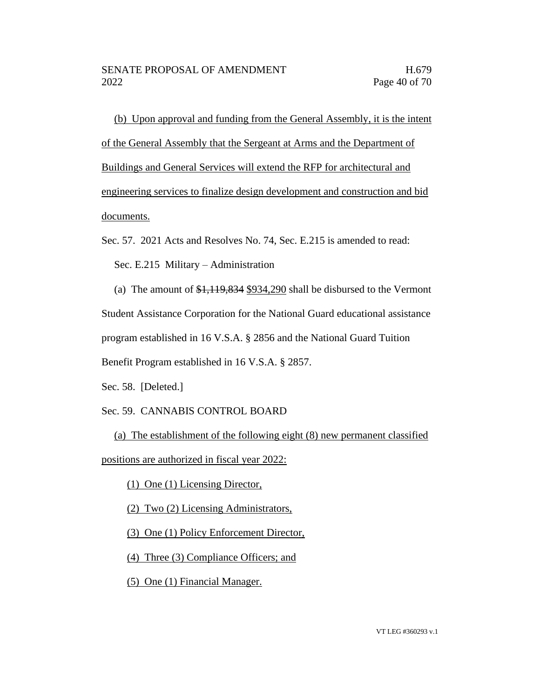(b) Upon approval and funding from the General Assembly, it is the intent of the General Assembly that the Sergeant at Arms and the Department of Buildings and General Services will extend the RFP for architectural and engineering services to finalize design development and construction and bid documents.

Sec. 57. 2021 Acts and Resolves No. 74, Sec. E.215 is amended to read:

Sec. E.215 Military – Administration

(a) The amount of \$1,119,834 \$934,290 shall be disbursed to the Vermont Student Assistance Corporation for the National Guard educational assistance program established in 16 V.S.A. § 2856 and the National Guard Tuition Benefit Program established in 16 V.S.A. § 2857.

Sec. 58. [Deleted.]

### Sec. 59. CANNABIS CONTROL BOARD

(a) The establishment of the following eight (8) new permanent classified positions are authorized in fiscal year 2022:

(1) One (1) Licensing Director,

(2) Two (2) Licensing Administrators,

(3) One (1) Policy Enforcement Director,

(4) Three (3) Compliance Officers; and

(5) One (1) Financial Manager.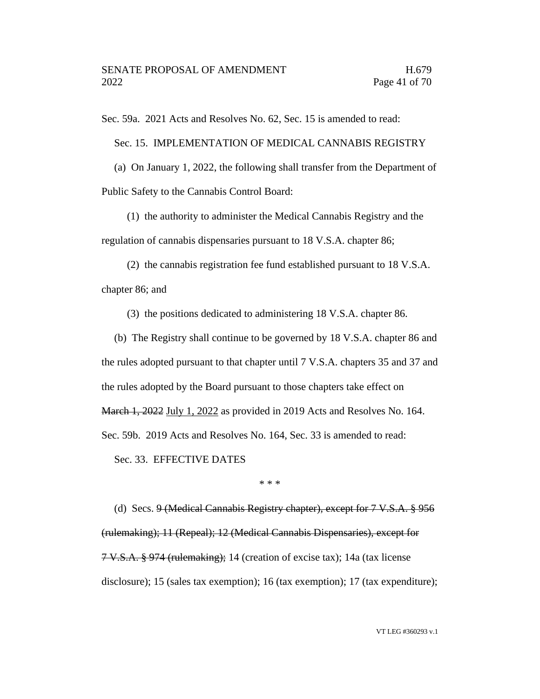Sec. 59a. 2021 Acts and Resolves No. 62, Sec. 15 is amended to read:

Sec. 15. IMPLEMENTATION OF MEDICAL CANNABIS REGISTRY

(a) On January 1, 2022, the following shall transfer from the Department of Public Safety to the Cannabis Control Board:

(1) the authority to administer the Medical Cannabis Registry and the regulation of cannabis dispensaries pursuant to 18 V.S.A. chapter 86;

(2) the cannabis registration fee fund established pursuant to 18 V.S.A. chapter 86; and

(3) the positions dedicated to administering 18 V.S.A. chapter 86.

(b) The Registry shall continue to be governed by 18 V.S.A. chapter 86 and the rules adopted pursuant to that chapter until 7 V.S.A. chapters 35 and 37 and the rules adopted by the Board pursuant to those chapters take effect on March 1, 2022 July 1, 2022 as provided in 2019 Acts and Resolves No. 164.

Sec. 59b. 2019 Acts and Resolves No. 164, Sec. 33 is amended to read:

Sec. 33. EFFECTIVE DATES

\* \* \*

(d) Secs. 9 (Medical Cannabis Registry chapter), except for 7 V.S.A. § 956 (rulemaking); 11 (Repeal); 12 (Medical Cannabis Dispensaries), except for 7 V.S.A. § 974 (rulemaking); 14 (creation of excise tax); 14a (tax license disclosure); 15 (sales tax exemption); 16 (tax exemption); 17 (tax expenditure);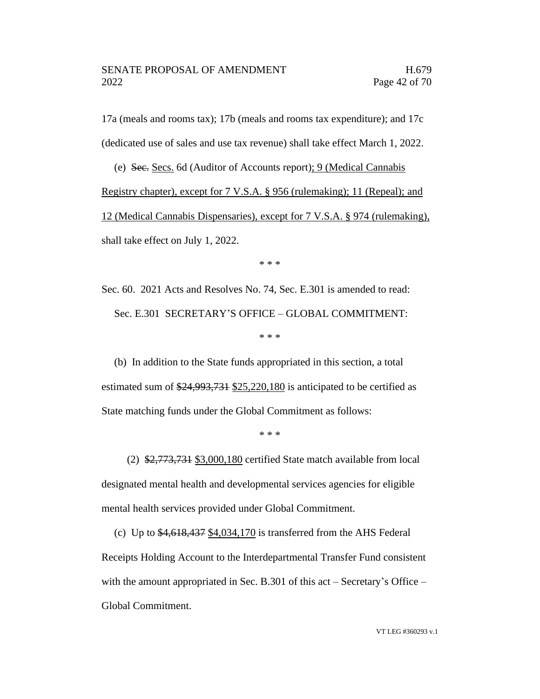17a (meals and rooms tax); 17b (meals and rooms tax expenditure); and 17c (dedicated use of sales and use tax revenue) shall take effect March 1, 2022.

(e) Sec. Secs. 6d (Auditor of Accounts report); 9 (Medical Cannabis Registry chapter), except for 7 V.S.A. § 956 (rulemaking); 11 (Repeal); and 12 (Medical Cannabis Dispensaries), except for 7 V.S.A. § 974 (rulemaking), shall take effect on July 1, 2022.

\* \* \*

Sec. 60. 2021 Acts and Resolves No. 74, Sec. E.301 is amended to read: Sec. E.301 SECRETARY'S OFFICE – GLOBAL COMMITMENT: \* \* \*

(b) In addition to the State funds appropriated in this section, a total estimated sum of  $\frac{24,993,731}{25,220,180}$  is anticipated to be certified as State matching funds under the Global Commitment as follows:

\* \* \*

(2)  $\frac{2,773,731}{2,000,180}$  certified State match available from local designated mental health and developmental services agencies for eligible mental health services provided under Global Commitment.

(c) Up to \$4,618,437 \$4,034,170 is transferred from the AHS Federal Receipts Holding Account to the Interdepartmental Transfer Fund consistent with the amount appropriated in Sec. B.301 of this act – Secretary's Office – Global Commitment.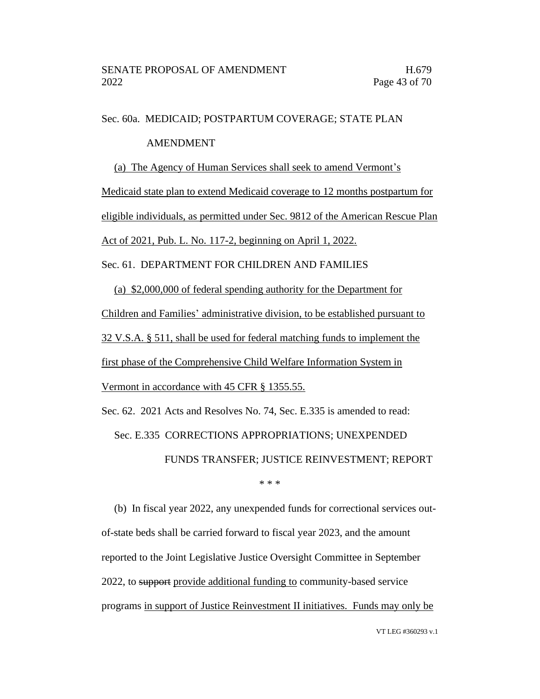### Sec. 60a. MEDICAID; POSTPARTUM COVERAGE; STATE PLAN

#### AMENDMENT

#### (a) The Agency of Human Services shall seek to amend Vermont's

Medicaid state plan to extend Medicaid coverage to 12 months postpartum for

eligible individuals, as permitted under Sec. 9812 of the American Rescue Plan

Act of 2021, Pub. L. No. 117-2, beginning on April 1, 2022.

Sec. 61. DEPARTMENT FOR CHILDREN AND FAMILIES

(a) \$2,000,000 of federal spending authority for the Department for Children and Families' administrative division, to be established pursuant to 32 V.S.A. § 511, shall be used for federal matching funds to implement the first phase of the Comprehensive Child Welfare Information System in Vermont in accordance with 45 CFR § 1355.55.

Sec. 62. 2021 Acts and Resolves No. 74, Sec. E.335 is amended to read: Sec. E.335 CORRECTIONS APPROPRIATIONS; UNEXPENDED FUNDS TRANSFER; JUSTICE REINVESTMENT; REPORT \* \* \*

(b) In fiscal year 2022, any unexpended funds for correctional services outof-state beds shall be carried forward to fiscal year 2023, and the amount reported to the Joint Legislative Justice Oversight Committee in September 2022, to support provide additional funding to community-based service programs in support of Justice Reinvestment II initiatives. Funds may only be

VT LEG #360293 v.1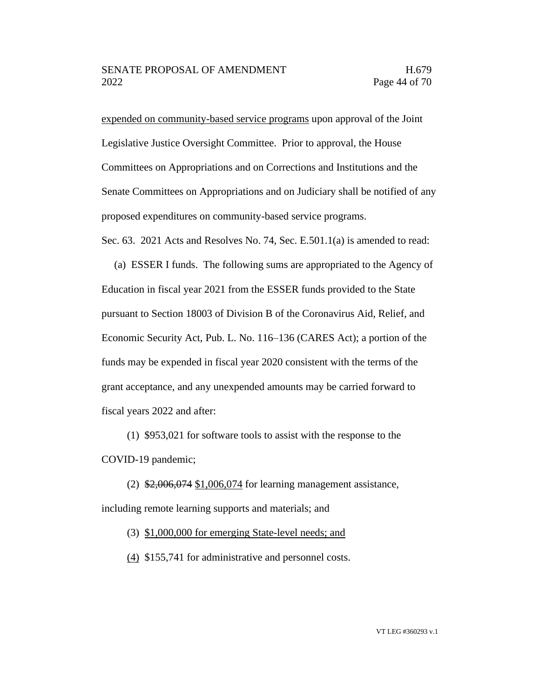expended on community-based service programs upon approval of the Joint Legislative Justice Oversight Committee. Prior to approval, the House Committees on Appropriations and on Corrections and Institutions and the Senate Committees on Appropriations and on Judiciary shall be notified of any proposed expenditures on community-based service programs.

Sec. 63. 2021 Acts and Resolves No. 74, Sec. E.501.1(a) is amended to read:

(a) ESSER I funds. The following sums are appropriated to the Agency of Education in fiscal year 2021 from the ESSER funds provided to the State pursuant to Section 18003 of Division B of the Coronavirus Aid, Relief, and Economic Security Act, Pub. L. No. 116–136 (CARES Act); a portion of the funds may be expended in fiscal year 2020 consistent with the terms of the grant acceptance, and any unexpended amounts may be carried forward to fiscal years 2022 and after:

(1) \$953,021 for software tools to assist with the response to the COVID-19 pandemic;

(2) \$2,006,074 \$1,006,074 for learning management assistance, including remote learning supports and materials; and

(3) \$1,000,000 for emerging State-level needs; and

(4) \$155,741 for administrative and personnel costs.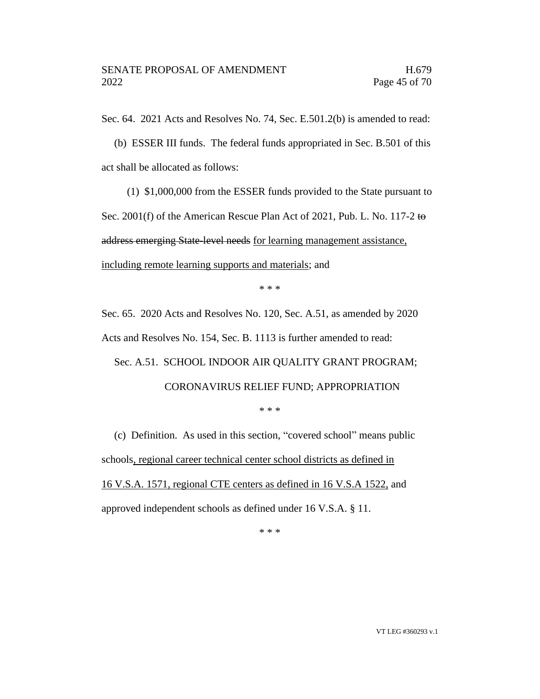Sec. 64. 2021 Acts and Resolves No. 74, Sec. E.501.2(b) is amended to read:

(b) ESSER III funds. The federal funds appropriated in Sec. B.501 of this act shall be allocated as follows:

(1) \$1,000,000 from the ESSER funds provided to the State pursuant to

Sec. 2001(f) of the American Rescue Plan Act of 2021, Pub. L. No. 117-2 to

address emerging State-level needs for learning management assistance,

including remote learning supports and materials; and

\* \* \*

Sec. 65. 2020 Acts and Resolves No. 120, Sec. A.51, as amended by 2020 Acts and Resolves No. 154, Sec. B. 1113 is further amended to read:

Sec. A.51. SCHOOL INDOOR AIR QUALITY GRANT PROGRAM; CORONAVIRUS RELIEF FUND; APPROPRIATION

\* \* \*

(c) Definition. As used in this section, "covered school" means public schools, regional career technical center school districts as defined in 16 V.S.A. 1571, regional CTE centers as defined in 16 V.S.A 1522, and approved independent schools as defined under 16 V.S.A. § 11.

\* \* \*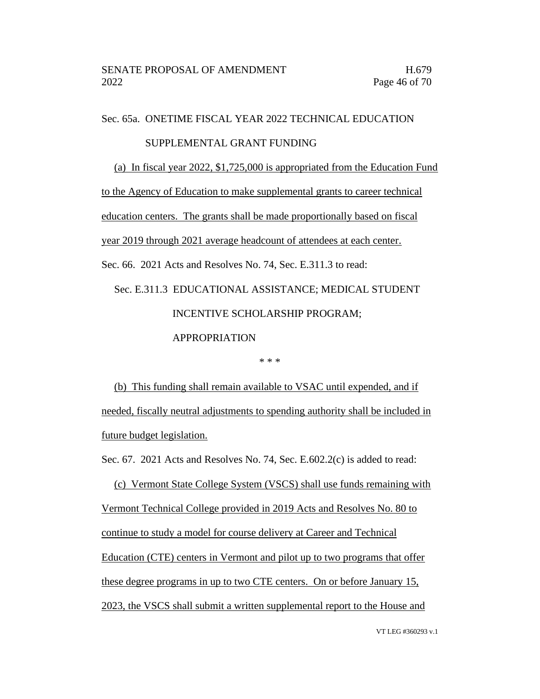Sec. 65a. ONETIME FISCAL YEAR 2022 TECHNICAL EDUCATION

### SUPPLEMENTAL GRANT FUNDING

(a) In fiscal year 2022, \$1,725,000 is appropriated from the Education Fund

to the Agency of Education to make supplemental grants to career technical

education centers. The grants shall be made proportionally based on fiscal

year 2019 through 2021 average headcount of attendees at each center.

Sec. 66. 2021 Acts and Resolves No. 74, Sec. E.311.3 to read:

# Sec. E.311.3 EDUCATIONAL ASSISTANCE; MEDICAL STUDENT INCENTIVE SCHOLARSHIP PROGRAM; APPROPRIATION

\* \* \*

(b) This funding shall remain available to VSAC until expended, and if needed, fiscally neutral adjustments to spending authority shall be included in future budget legislation.

Sec. 67. 2021 Acts and Resolves No. 74, Sec. E.602.2(c) is added to read:

(c) Vermont State College System (VSCS) shall use funds remaining with Vermont Technical College provided in 2019 Acts and Resolves No. 80 to continue to study a model for course delivery at Career and Technical Education (CTE) centers in Vermont and pilot up to two programs that offer these degree programs in up to two CTE centers. On or before January 15, 2023, the VSCS shall submit a written supplemental report to the House and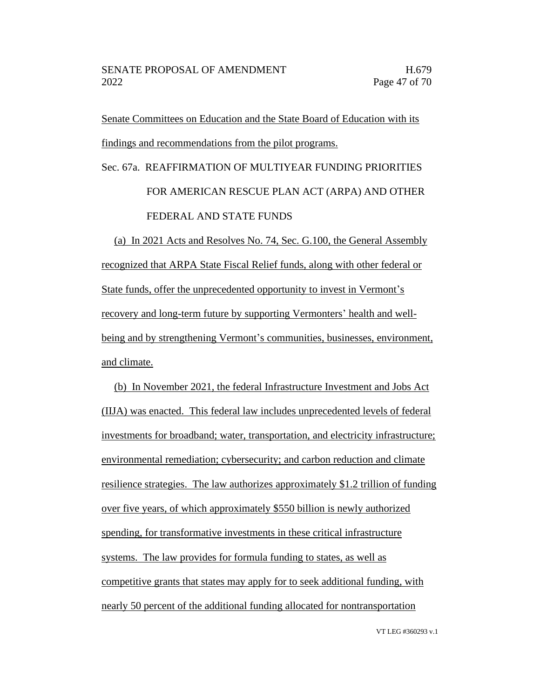Senate Committees on Education and the State Board of Education with its findings and recommendations from the pilot programs.

# Sec. 67a. REAFFIRMATION OF MULTIYEAR FUNDING PRIORITIES FOR AMERICAN RESCUE PLAN ACT (ARPA) AND OTHER FEDERAL AND STATE FUNDS

(a) In 2021 Acts and Resolves No. 74, Sec. G.100, the General Assembly recognized that ARPA State Fiscal Relief funds, along with other federal or State funds, offer the unprecedented opportunity to invest in Vermont's recovery and long-term future by supporting Vermonters' health and wellbeing and by strengthening Vermont's communities, businesses, environment, and climate.

(b) In November 2021, the federal Infrastructure Investment and Jobs Act (IIJA) was enacted. This federal law includes unprecedented levels of federal investments for broadband; water, transportation, and electricity infrastructure; environmental remediation; cybersecurity; and carbon reduction and climate resilience strategies. The law authorizes approximately \$1.2 trillion of funding over five years, of which approximately \$550 billion is newly authorized spending, for transformative investments in these critical infrastructure systems. The law provides for formula funding to states, as well as competitive grants that states may apply for to seek additional funding, with nearly 50 percent of the additional funding allocated for nontransportation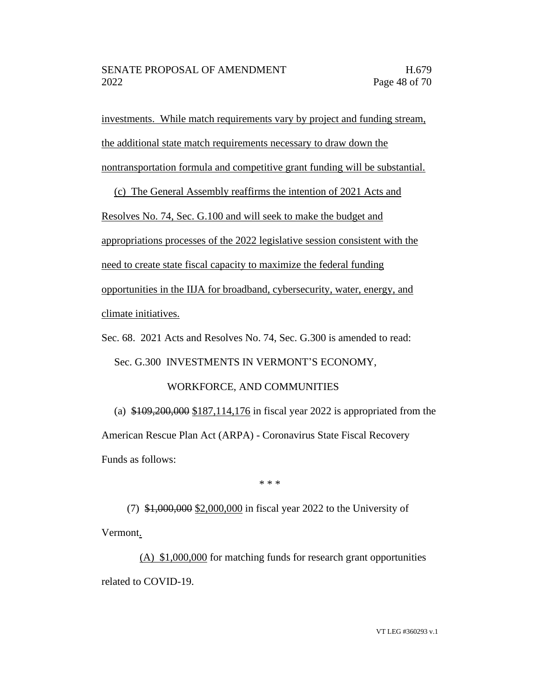investments. While match requirements vary by project and funding stream, the additional state match requirements necessary to draw down the nontransportation formula and competitive grant funding will be substantial.

(c) The General Assembly reaffirms the intention of 2021 Acts and Resolves No. 74, Sec. G.100 and will seek to make the budget and appropriations processes of the 2022 legislative session consistent with the need to create state fiscal capacity to maximize the federal funding opportunities in the IIJA for broadband, cybersecurity, water, energy, and climate initiatives.

Sec. 68. 2021 Acts and Resolves No. 74, Sec. G.300 is amended to read:

Sec. G.300 INVESTMENTS IN VERMONT'S ECONOMY,

### WORKFORCE, AND COMMUNITIES

(a) \$109,200,000 \$187,114,176 in fiscal year 2022 is appropriated from the American Rescue Plan Act (ARPA) - Coronavirus State Fiscal Recovery Funds as follows:

\* \* \*

(7) \$1,000,000 \$2,000,000 in fiscal year 2022 to the University of Vermont.

(A) \$1,000,000 for matching funds for research grant opportunities related to COVID-19.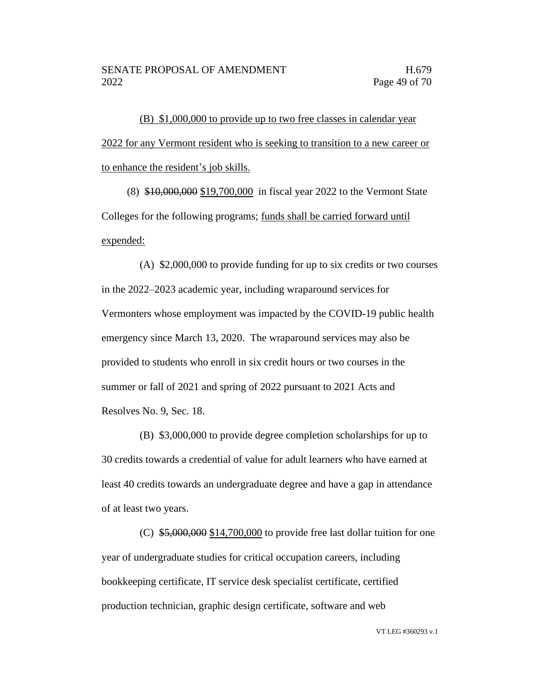(B) \$1,000,000 to provide up to two free classes in calendar year 2022 for any Vermont resident who is seeking to transition to a new career or to enhance the resident's job skills.

(8) \$10,000,000 \$19,700,000 in fiscal year 2022 to the Vermont State Colleges for the following programs; funds shall be carried forward until expended:

(A) \$2,000,000 to provide funding for up to six credits or two courses in the 2022–2023 academic year, including wraparound services for Vermonters whose employment was impacted by the COVID-19 public health emergency since March 13, 2020. The wraparound services may also be provided to students who enroll in six credit hours or two courses in the summer or fall of 2021 and spring of 2022 pursuant to 2021 Acts and Resolves No. 9, Sec. 18.

(B) \$3,000,000 to provide degree completion scholarships for up to 30 credits towards a credential of value for adult learners who have earned at least 40 credits towards an undergraduate degree and have a gap in attendance of at least two years.

(C)  $$5,000,000$  \$14,700,000 to provide free last dollar tuition for one year of undergraduate studies for critical occupation careers, including bookkeeping certificate, IT service desk specialist certificate, certified production technician, graphic design certificate, software and web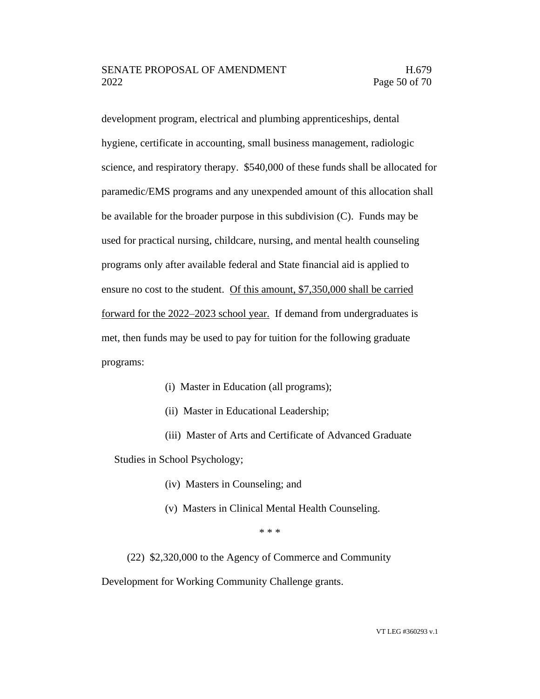development program, electrical and plumbing apprenticeships, dental hygiene, certificate in accounting, small business management, radiologic science, and respiratory therapy. \$540,000 of these funds shall be allocated for paramedic/EMS programs and any unexpended amount of this allocation shall be available for the broader purpose in this subdivision (C). Funds may be used for practical nursing, childcare, nursing, and mental health counseling programs only after available federal and State financial aid is applied to ensure no cost to the student. Of this amount, \$7,350,000 shall be carried forward for the 2022–2023 school year. If demand from undergraduates is met, then funds may be used to pay for tuition for the following graduate programs:

- (i) Master in Education (all programs);
- (ii) Master in Educational Leadership;
- (iii) Master of Arts and Certificate of Advanced Graduate

Studies in School Psychology;

- (iv) Masters in Counseling; and
- (v) Masters in Clinical Mental Health Counseling.

\* \* \*

(22) \$2,320,000 to the Agency of Commerce and Community

Development for Working Community Challenge grants.

VT LEG #360293 v.1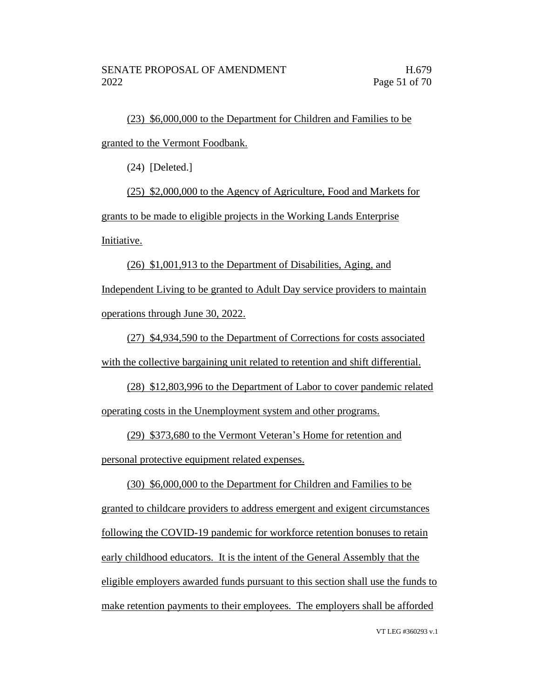(23) \$6,000,000 to the Department for Children and Families to be granted to the Vermont Foodbank.

(24) [Deleted.]

(25) \$2,000,000 to the Agency of Agriculture, Food and Markets for grants to be made to eligible projects in the Working Lands Enterprise Initiative.

(26) \$1,001,913 to the Department of Disabilities, Aging, and Independent Living to be granted to Adult Day service providers to maintain operations through June 30, 2022.

(27) \$4,934,590 to the Department of Corrections for costs associated with the collective bargaining unit related to retention and shift differential.

(28) \$12,803,996 to the Department of Labor to cover pandemic related operating costs in the Unemployment system and other programs.

(29) \$373,680 to the Vermont Veteran's Home for retention and personal protective equipment related expenses.

(30) \$6,000,000 to the Department for Children and Families to be granted to childcare providers to address emergent and exigent circumstances following the COVID-19 pandemic for workforce retention bonuses to retain early childhood educators. It is the intent of the General Assembly that the eligible employers awarded funds pursuant to this section shall use the funds to make retention payments to their employees. The employers shall be afforded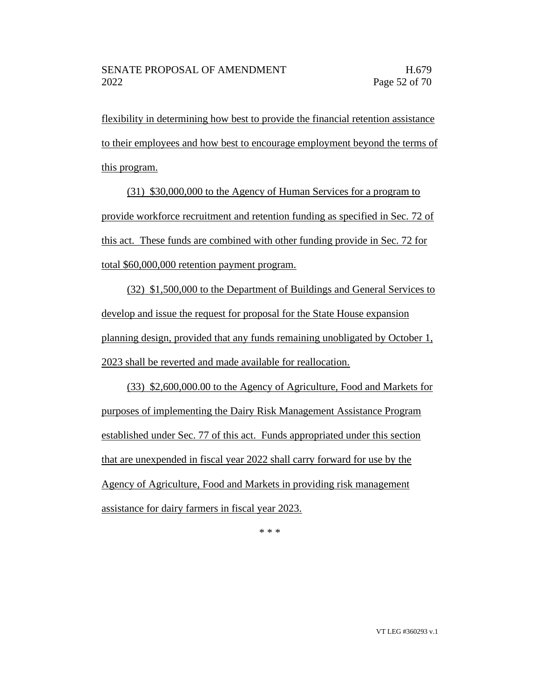flexibility in determining how best to provide the financial retention assistance to their employees and how best to encourage employment beyond the terms of this program.

(31) \$30,000,000 to the Agency of Human Services for a program to provide workforce recruitment and retention funding as specified in Sec. 72 of this act. These funds are combined with other funding provide in Sec. 72 for total \$60,000,000 retention payment program.

(32) \$1,500,000 to the Department of Buildings and General Services to develop and issue the request for proposal for the State House expansion planning design, provided that any funds remaining unobligated by October 1, 2023 shall be reverted and made available for reallocation.

(33) \$2,600,000.00 to the Agency of Agriculture, Food and Markets for purposes of implementing the Dairy Risk Management Assistance Program established under Sec. 77 of this act. Funds appropriated under this section that are unexpended in fiscal year 2022 shall carry forward for use by the Agency of Agriculture, Food and Markets in providing risk management assistance for dairy farmers in fiscal year 2023.

\* \* \*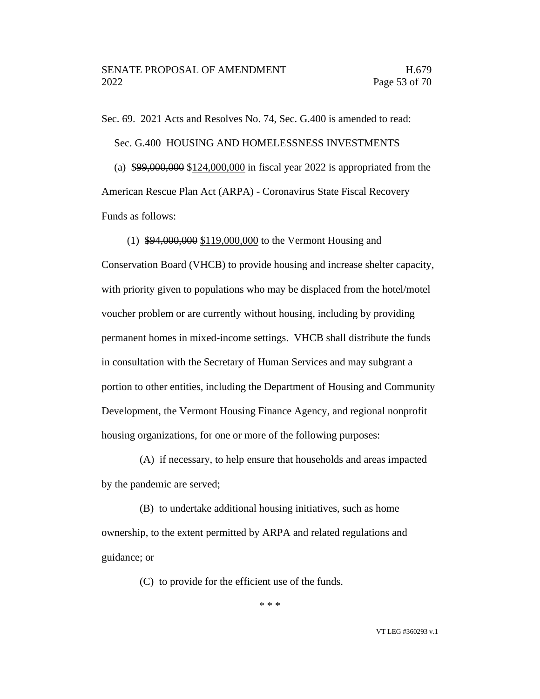Sec. 69. 2021 Acts and Resolves No. 74, Sec. G.400 is amended to read: Sec. G.400 HOUSING AND HOMELESSNESS INVESTMENTS (a) \$99,000,000 \$124,000,000 in fiscal year 2022 is appropriated from the American Rescue Plan Act (ARPA) - Coronavirus State Fiscal Recovery Funds as follows:

(1) \$94,000,000 \$119,000,000 to the Vermont Housing and Conservation Board (VHCB) to provide housing and increase shelter capacity, with priority given to populations who may be displaced from the hotel/motel voucher problem or are currently without housing, including by providing permanent homes in mixed-income settings. VHCB shall distribute the funds in consultation with the Secretary of Human Services and may subgrant a portion to other entities, including the Department of Housing and Community Development, the Vermont Housing Finance Agency, and regional nonprofit housing organizations, for one or more of the following purposes:

(A) if necessary, to help ensure that households and areas impacted by the pandemic are served;

(B) to undertake additional housing initiatives, such as home ownership, to the extent permitted by ARPA and related regulations and guidance; or

(C) to provide for the efficient use of the funds.

\* \* \*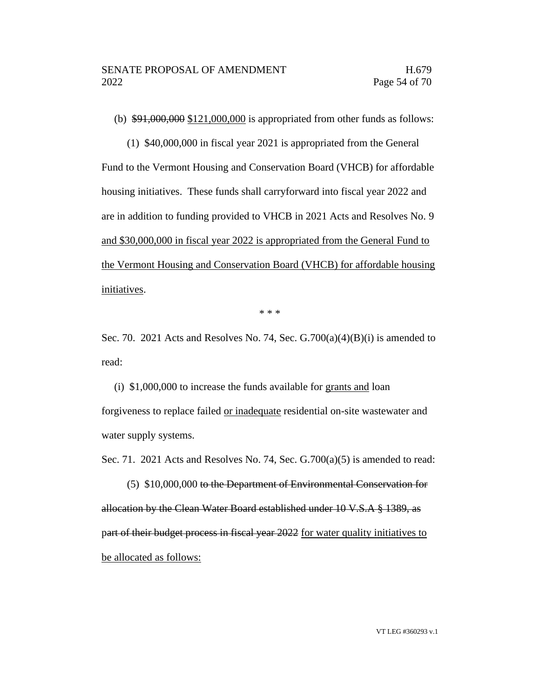(b)  $\frac{1000,000,000}{121,000,000}$  is appropriated from other funds as follows:

(1) \$40,000,000 in fiscal year 2021 is appropriated from the General Fund to the Vermont Housing and Conservation Board (VHCB) for affordable housing initiatives. These funds shall carryforward into fiscal year 2022 and are in addition to funding provided to VHCB in 2021 Acts and Resolves No. 9 and \$30,000,000 in fiscal year 2022 is appropriated from the General Fund to the Vermont Housing and Conservation Board (VHCB) for affordable housing initiatives.

\* \* \*

Sec. 70. 2021 Acts and Resolves No. 74, Sec.  $G.700(a)(4)(B)(i)$  is amended to read:

(i) \$1,000,000 to increase the funds available for grants and loan forgiveness to replace failed or inadequate residential on-site wastewater and water supply systems.

Sec. 71. 2021 Acts and Resolves No. 74, Sec. G.700(a)(5) is amended to read:

(5) \$10,000,000 to the Department of Environmental Conservation for allocation by the Clean Water Board established under 10 V.S.A § 1389, as part of their budget process in fiscal year 2022 for water quality initiatives to be allocated as follows: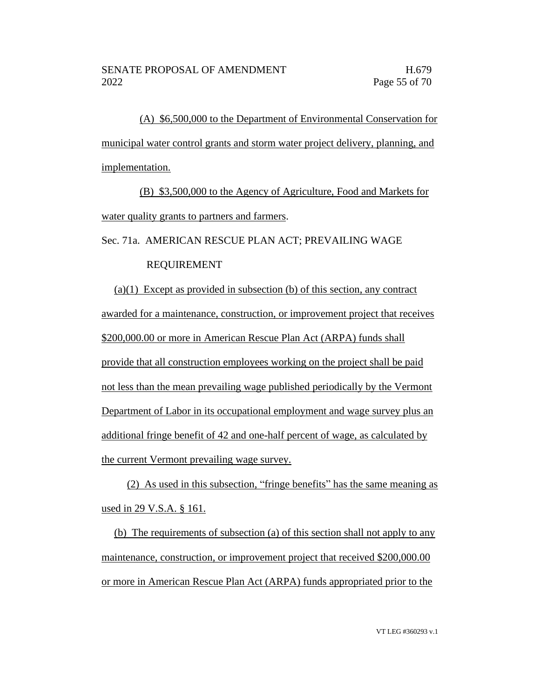(A) \$6,500,000 to the Department of Environmental Conservation for municipal water control grants and storm water project delivery, planning, and implementation.

(B) \$3,500,000 to the Agency of Agriculture, Food and Markets for water quality grants to partners and farmers.

Sec. 71a. AMERICAN RESCUE PLAN ACT; PREVAILING WAGE

### REQUIREMENT

(a)(1) Except as provided in subsection (b) of this section, any contract awarded for a maintenance, construction, or improvement project that receives \$200,000.00 or more in American Rescue Plan Act (ARPA) funds shall provide that all construction employees working on the project shall be paid not less than the mean prevailing wage published periodically by the Vermont Department of Labor in its occupational employment and wage survey plus an additional fringe benefit of 42 and one-half percent of wage, as calculated by the current Vermont prevailing wage survey.

(2) As used in this subsection, "fringe benefits" has the same meaning as used in 29 V.S.A. § 161.

(b) The requirements of subsection (a) of this section shall not apply to any maintenance, construction, or improvement project that received \$200,000.00 or more in American Rescue Plan Act (ARPA) funds appropriated prior to the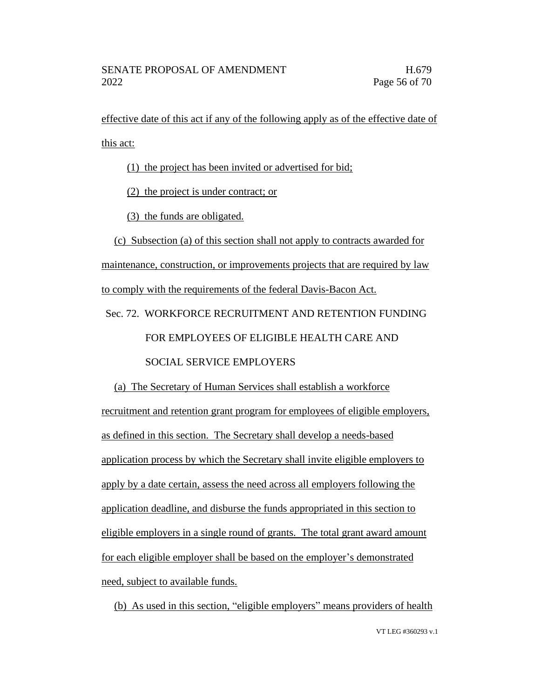effective date of this act if any of the following apply as of the effective date of this act:

(1) the project has been invited or advertised for bid;

(2) the project is under contract; or

(3) the funds are obligated.

(c) Subsection (a) of this section shall not apply to contracts awarded for maintenance, construction, or improvements projects that are required by law to comply with the requirements of the federal Davis-Bacon Act. Sec. 72. WORKFORCE RECRUITMENT AND RETENTION FUNDING

# FOR EMPLOYEES OF ELIGIBLE HEALTH CARE AND

### SOCIAL SERVICE EMPLOYERS

(a) The Secretary of Human Services shall establish a workforce recruitment and retention grant program for employees of eligible employers, as defined in this section. The Secretary shall develop a needs-based application process by which the Secretary shall invite eligible employers to apply by a date certain, assess the need across all employers following the application deadline, and disburse the funds appropriated in this section to eligible employers in a single round of grants. The total grant award amount for each eligible employer shall be based on the employer's demonstrated need, subject to available funds.

(b) As used in this section, "eligible employers" means providers of health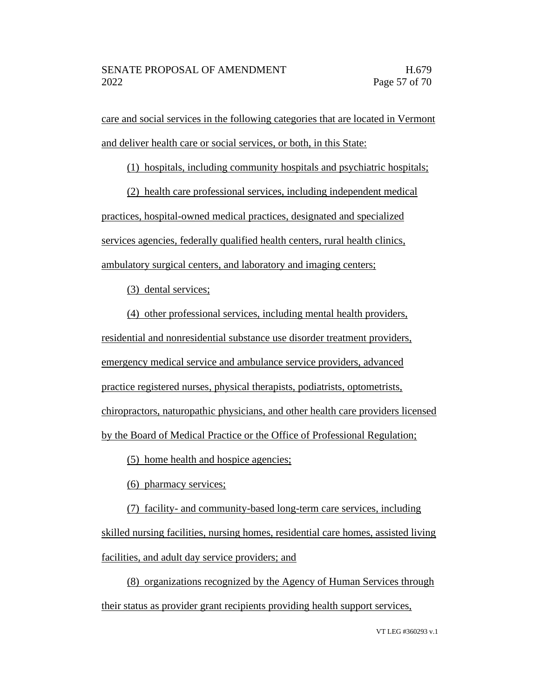care and social services in the following categories that are located in Vermont and deliver health care or social services, or both, in this State:

(1) hospitals, including community hospitals and psychiatric hospitals;

(2) health care professional services, including independent medical practices, hospital-owned medical practices, designated and specialized services agencies, federally qualified health centers, rural health clinics, ambulatory surgical centers, and laboratory and imaging centers;

(3) dental services;

(4) other professional services, including mental health providers, residential and nonresidential substance use disorder treatment providers, emergency medical service and ambulance service providers, advanced practice registered nurses, physical therapists, podiatrists, optometrists, chiropractors, naturopathic physicians, and other health care providers licensed by the Board of Medical Practice or the Office of Professional Regulation;

(5) home health and hospice agencies;

(6) pharmacy services;

(7) facility- and community-based long-term care services, including skilled nursing facilities, nursing homes, residential care homes, assisted living facilities, and adult day service providers; and

(8) organizations recognized by the Agency of Human Services through their status as provider grant recipients providing health support services,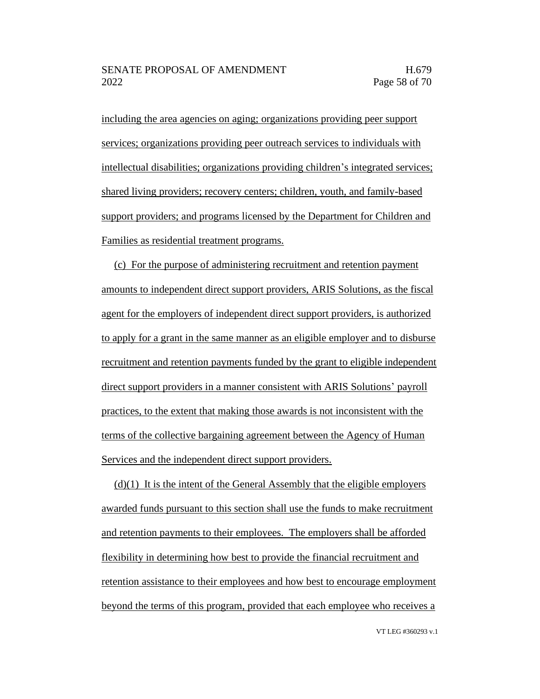including the area agencies on aging; organizations providing peer support services; organizations providing peer outreach services to individuals with intellectual disabilities; organizations providing children's integrated services; shared living providers; recovery centers; children, youth, and family-based support providers; and programs licensed by the Department for Children and Families as residential treatment programs.

(c) For the purpose of administering recruitment and retention payment amounts to independent direct support providers, ARIS Solutions, as the fiscal agent for the employers of independent direct support providers, is authorized to apply for a grant in the same manner as an eligible employer and to disburse recruitment and retention payments funded by the grant to eligible independent direct support providers in a manner consistent with ARIS Solutions' payroll practices, to the extent that making those awards is not inconsistent with the terms of the collective bargaining agreement between the Agency of Human Services and the independent direct support providers.

 $(d)(1)$  It is the intent of the General Assembly that the eligible employers awarded funds pursuant to this section shall use the funds to make recruitment and retention payments to their employees. The employers shall be afforded flexibility in determining how best to provide the financial recruitment and retention assistance to their employees and how best to encourage employment beyond the terms of this program, provided that each employee who receives a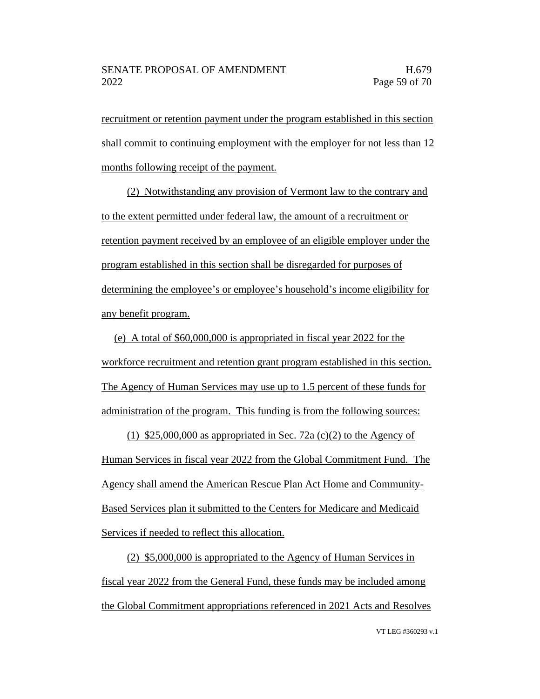recruitment or retention payment under the program established in this section shall commit to continuing employment with the employer for not less than 12 months following receipt of the payment.

(2) Notwithstanding any provision of Vermont law to the contrary and to the extent permitted under federal law, the amount of a recruitment or retention payment received by an employee of an eligible employer under the program established in this section shall be disregarded for purposes of determining the employee's or employee's household's income eligibility for any benefit program.

(e) A total of \$60,000,000 is appropriated in fiscal year 2022 for the workforce recruitment and retention grant program established in this section. The Agency of Human Services may use up to 1.5 percent of these funds for administration of the program. This funding is from the following sources:

(1) \$25,000,000 as appropriated in Sec. 72a (c)(2) to the Agency of Human Services in fiscal year 2022 from the Global Commitment Fund. The Agency shall amend the American Rescue Plan Act Home and Community-Based Services plan it submitted to the Centers for Medicare and Medicaid Services if needed to reflect this allocation.

(2) \$5,000,000 is appropriated to the Agency of Human Services in fiscal year 2022 from the General Fund, these funds may be included among the Global Commitment appropriations referenced in 2021 Acts and Resolves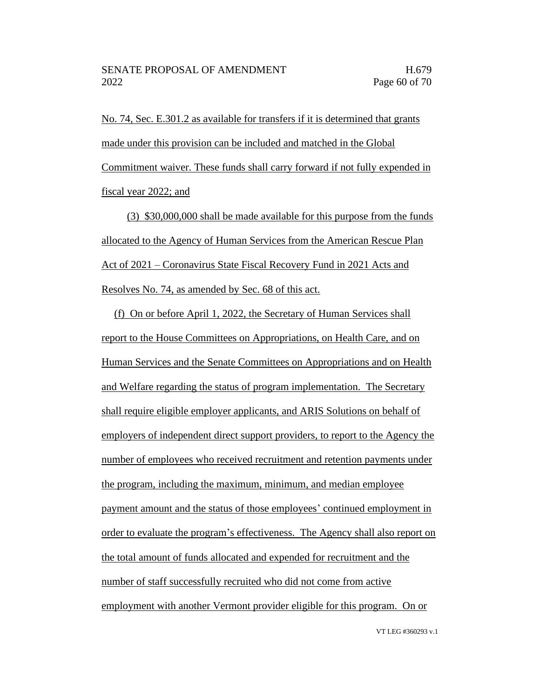No. 74, Sec. E.301.2 as available for transfers if it is determined that grants made under this provision can be included and matched in the Global Commitment waiver. These funds shall carry forward if not fully expended in fiscal year 2022; and

(3) \$30,000,000 shall be made available for this purpose from the funds allocated to the Agency of Human Services from the American Rescue Plan Act of 2021 – Coronavirus State Fiscal Recovery Fund in 2021 Acts and Resolves No. 74, as amended by Sec. 68 of this act.

(f) On or before April 1, 2022, the Secretary of Human Services shall report to the House Committees on Appropriations, on Health Care, and on Human Services and the Senate Committees on Appropriations and on Health and Welfare regarding the status of program implementation. The Secretary shall require eligible employer applicants, and ARIS Solutions on behalf of employers of independent direct support providers, to report to the Agency the number of employees who received recruitment and retention payments under the program, including the maximum, minimum, and median employee payment amount and the status of those employees' continued employment in order to evaluate the program's effectiveness. The Agency shall also report on the total amount of funds allocated and expended for recruitment and the number of staff successfully recruited who did not come from active employment with another Vermont provider eligible for this program. On or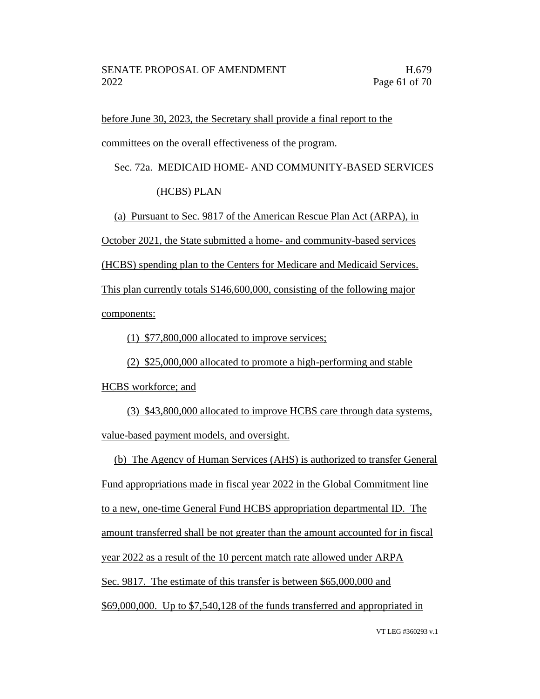before June 30, 2023, the Secretary shall provide a final report to the committees on the overall effectiveness of the program.

Sec. 72a. MEDICAID HOME- AND COMMUNITY-BASED SERVICES

(HCBS) PLAN

(a) Pursuant to Sec. 9817 of the American Rescue Plan Act (ARPA), in

October 2021, the State submitted a home- and community-based services

(HCBS) spending plan to the Centers for Medicare and Medicaid Services.

This plan currently totals \$146,600,000, consisting of the following major components:

(1) \$77,800,000 allocated to improve services;

(2) \$25,000,000 allocated to promote a high-performing and stable

HCBS workforce; and

(3) \$43,800,000 allocated to improve HCBS care through data systems, value-based payment models, and oversight.

(b) The Agency of Human Services (AHS) is authorized to transfer General Fund appropriations made in fiscal year 2022 in the Global Commitment line to a new, one-time General Fund HCBS appropriation departmental ID. The amount transferred shall be not greater than the amount accounted for in fiscal year 2022 as a result of the 10 percent match rate allowed under ARPA Sec. 9817. The estimate of this transfer is between \$65,000,000 and \$69,000,000. Up to \$7,540,128 of the funds transferred and appropriated in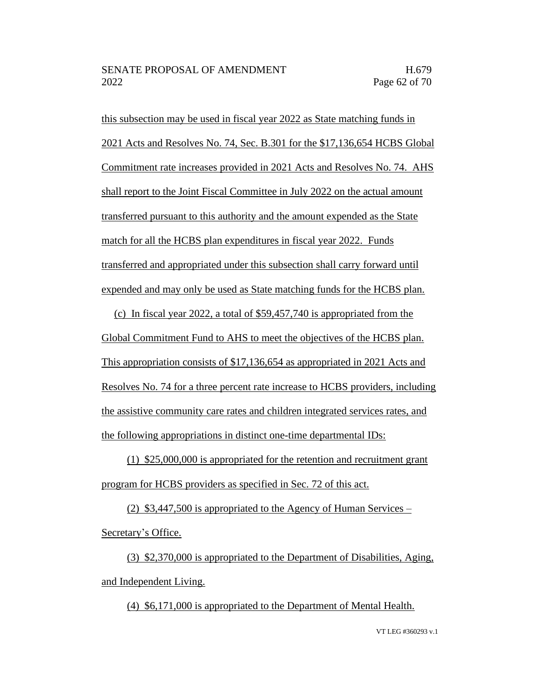this subsection may be used in fiscal year 2022 as State matching funds in 2021 Acts and Resolves No. 74, Sec. B.301 for the \$17,136,654 HCBS Global Commitment rate increases provided in 2021 Acts and Resolves No. 74. AHS shall report to the Joint Fiscal Committee in July 2022 on the actual amount transferred pursuant to this authority and the amount expended as the State match for all the HCBS plan expenditures in fiscal year 2022. Funds transferred and appropriated under this subsection shall carry forward until expended and may only be used as State matching funds for the HCBS plan.

(c) In fiscal year 2022, a total of \$59,457,740 is appropriated from the Global Commitment Fund to AHS to meet the objectives of the HCBS plan. This appropriation consists of \$17,136,654 as appropriated in 2021 Acts and Resolves No. 74 for a three percent rate increase to HCBS providers, including the assistive community care rates and children integrated services rates, and the following appropriations in distinct one-time departmental IDs:

(1) \$25,000,000 is appropriated for the retention and recruitment grant program for HCBS providers as specified in Sec. 72 of this act.

(2) \$3,447,500 is appropriated to the Agency of Human Services – Secretary's Office.

(3) \$2,370,000 is appropriated to the Department of Disabilities, Aging, and Independent Living.

(4) \$6,171,000 is appropriated to the Department of Mental Health.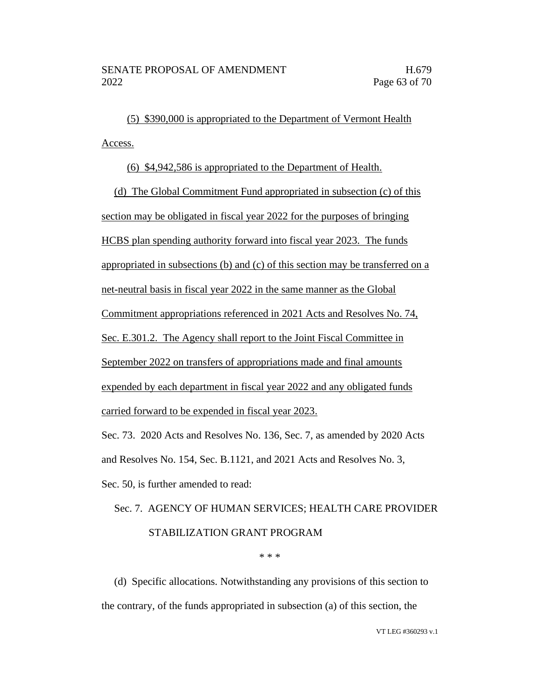(5) \$390,000 is appropriated to the Department of Vermont Health Access.

(6) \$4,942,586 is appropriated to the Department of Health.

(d) The Global Commitment Fund appropriated in subsection (c) of this section may be obligated in fiscal year 2022 for the purposes of bringing HCBS plan spending authority forward into fiscal year 2023. The funds appropriated in subsections (b) and (c) of this section may be transferred on a net-neutral basis in fiscal year 2022 in the same manner as the Global Commitment appropriations referenced in 2021 Acts and Resolves No. 74, Sec. E.301.2. The Agency shall report to the Joint Fiscal Committee in September 2022 on transfers of appropriations made and final amounts expended by each department in fiscal year 2022 and any obligated funds carried forward to be expended in fiscal year 2023.

Sec. 73. 2020 Acts and Resolves No. 136, Sec. 7, as amended by 2020 Acts and Resolves No. 154, Sec. B.1121, and 2021 Acts and Resolves No. 3,

Sec. 50, is further amended to read:

# Sec. 7. AGENCY OF HUMAN SERVICES; HEALTH CARE PROVIDER STABILIZATION GRANT PROGRAM

\* \* \*

(d) Specific allocations. Notwithstanding any provisions of this section to the contrary, of the funds appropriated in subsection (a) of this section, the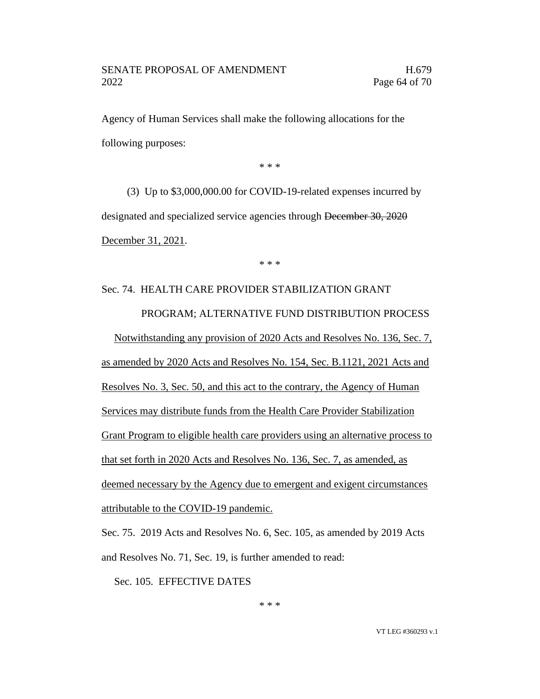Agency of Human Services shall make the following allocations for the following purposes:

\* \* \*

(3) Up to \$3,000,000.00 for COVID-19-related expenses incurred by designated and specialized service agencies through December 30, 2020 December 31, 2021.

\* \* \*

# Sec. 74. HEALTH CARE PROVIDER STABILIZATION GRANT PROGRAM; ALTERNATIVE FUND DISTRIBUTION PROCESS

Notwithstanding any provision of 2020 Acts and Resolves No. 136, Sec. 7, as amended by 2020 Acts and Resolves No. 154, Sec. B.1121, 2021 Acts and Resolves No. 3, Sec. 50, and this act to the contrary, the Agency of Human Services may distribute funds from the Health Care Provider Stabilization Grant Program to eligible health care providers using an alternative process to that set forth in 2020 Acts and Resolves No. 136, Sec. 7, as amended, as deemed necessary by the Agency due to emergent and exigent circumstances attributable to the COVID-19 pandemic.

Sec. 75. 2019 Acts and Resolves No. 6, Sec. 105, as amended by 2019 Acts and Resolves No. 71, Sec. 19, is further amended to read:

Sec. 105. EFFECTIVE DATES

\* \* \*

VT LEG #360293 v.1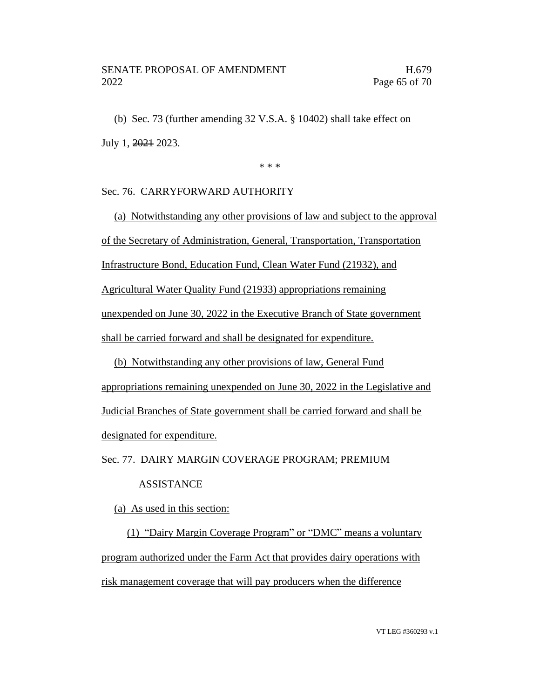(b) Sec. 73 (further amending 32 V.S.A. § 10402) shall take effect on July 1, 2021 2023.

\* \* \*

### Sec. 76. CARRYFORWARD AUTHORITY

(a) Notwithstanding any other provisions of law and subject to the approval of the Secretary of Administration, General, Transportation, Transportation Infrastructure Bond, Education Fund, Clean Water Fund (21932), and Agricultural Water Quality Fund (21933) appropriations remaining unexpended on June 30, 2022 in the Executive Branch of State government shall be carried forward and shall be designated for expenditure.

(b) Notwithstanding any other provisions of law, General Fund appropriations remaining unexpended on June 30, 2022 in the Legislative and Judicial Branches of State government shall be carried forward and shall be designated for expenditure.

Sec. 77. DAIRY MARGIN COVERAGE PROGRAM; PREMIUM

### ASSISTANCE

(a) As used in this section:

(1) "Dairy Margin Coverage Program" or "DMC" means a voluntary program authorized under the Farm Act that provides dairy operations with risk management coverage that will pay producers when the difference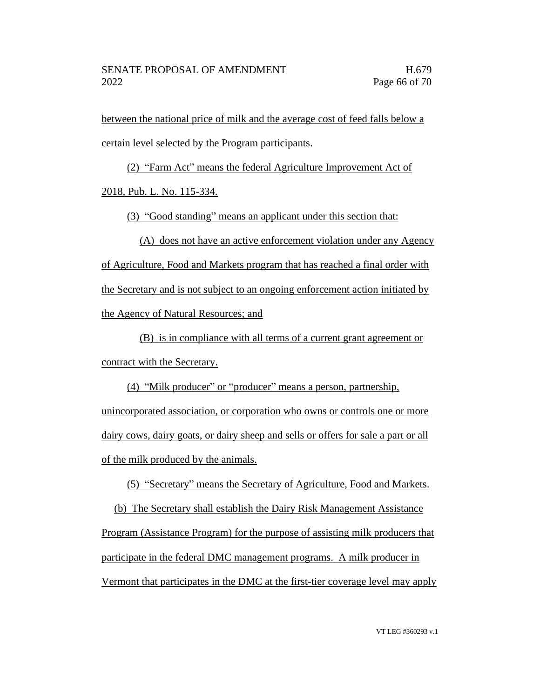between the national price of milk and the average cost of feed falls below a certain level selected by the Program participants.

(2) "Farm Act" means the federal Agriculture Improvement Act of 2018, Pub. L. No. 115-334.

(3) "Good standing" means an applicant under this section that:

(A) does not have an active enforcement violation under any Agency of Agriculture, Food and Markets program that has reached a final order with the Secretary and is not subject to an ongoing enforcement action initiated by the Agency of Natural Resources; and

(B) is in compliance with all terms of a current grant agreement or contract with the Secretary.

(4) "Milk producer" or "producer" means a person, partnership, unincorporated association, or corporation who owns or controls one or more dairy cows, dairy goats, or dairy sheep and sells or offers for sale a part or all of the milk produced by the animals.

(5) "Secretary" means the Secretary of Agriculture, Food and Markets.

(b) The Secretary shall establish the Dairy Risk Management Assistance Program (Assistance Program) for the purpose of assisting milk producers that participate in the federal DMC management programs. A milk producer in Vermont that participates in the DMC at the first-tier coverage level may apply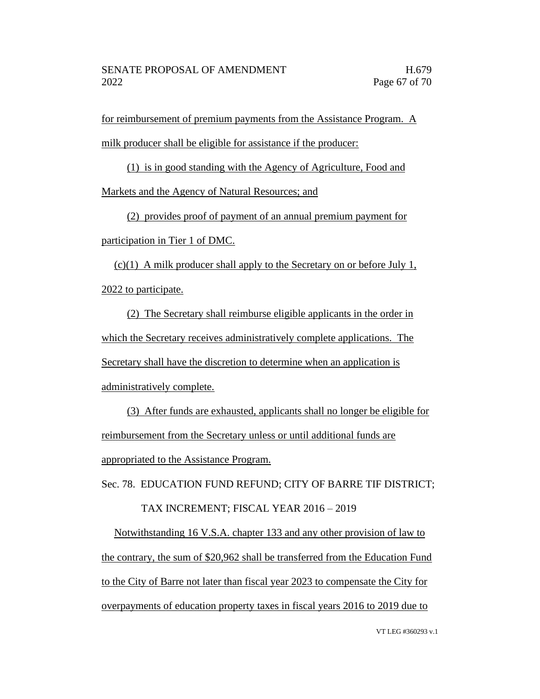for reimbursement of premium payments from the Assistance Program. A milk producer shall be eligible for assistance if the producer:

(1) is in good standing with the Agency of Agriculture, Food and

Markets and the Agency of Natural Resources; and

(2) provides proof of payment of an annual premium payment for participation in Tier 1 of DMC.

(c)(1) A milk producer shall apply to the Secretary on or before July 1, 2022 to participate.

(2) The Secretary shall reimburse eligible applicants in the order in which the Secretary receives administratively complete applications. The Secretary shall have the discretion to determine when an application is administratively complete.

(3) After funds are exhausted, applicants shall no longer be eligible for reimbursement from the Secretary unless or until additional funds are appropriated to the Assistance Program.

Sec. 78. EDUCATION FUND REFUND; CITY OF BARRE TIF DISTRICT;

### TAX INCREMENT; FISCAL YEAR 2016 – 2019

Notwithstanding 16 V.S.A. chapter 133 and any other provision of law to the contrary, the sum of \$20,962 shall be transferred from the Education Fund to the City of Barre not later than fiscal year 2023 to compensate the City for overpayments of education property taxes in fiscal years 2016 to 2019 due to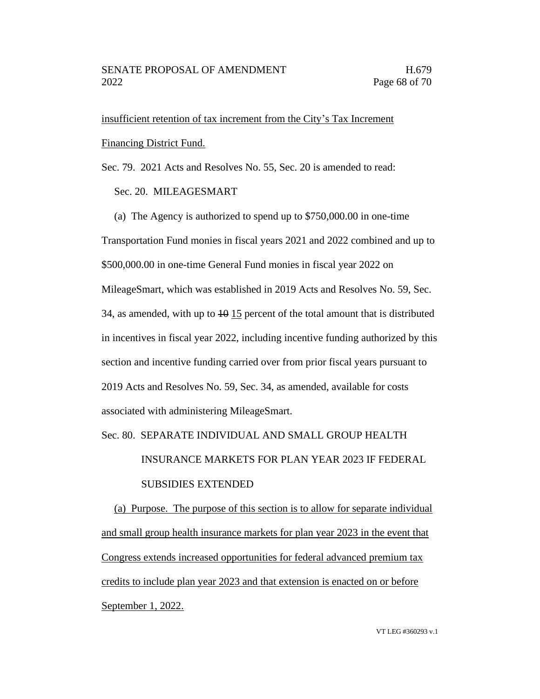insufficient retention of tax increment from the City's Tax Increment Financing District Fund.

Sec. 79. 2021 Acts and Resolves No. 55, Sec. 20 is amended to read:

### Sec. 20. MILEAGESMART

(a) The Agency is authorized to spend up to \$750,000.00 in one-time Transportation Fund monies in fiscal years 2021 and 2022 combined and up to \$500,000.00 in one-time General Fund monies in fiscal year 2022 on MileageSmart, which was established in 2019 Acts and Resolves No. 59, Sec. 34, as amended, with up to  $\frac{10}{15}$  percent of the total amount that is distributed in incentives in fiscal year 2022, including incentive funding authorized by this section and incentive funding carried over from prior fiscal years pursuant to 2019 Acts and Resolves No. 59, Sec. 34, as amended, available for costs associated with administering MileageSmart.

### Sec. 80. SEPARATE INDIVIDUAL AND SMALL GROUP HEALTH

# INSURANCE MARKETS FOR PLAN YEAR 2023 IF FEDERAL SUBSIDIES EXTENDED

(a) Purpose. The purpose of this section is to allow for separate individual and small group health insurance markets for plan year 2023 in the event that Congress extends increased opportunities for federal advanced premium tax credits to include plan year 2023 and that extension is enacted on or before September 1, 2022.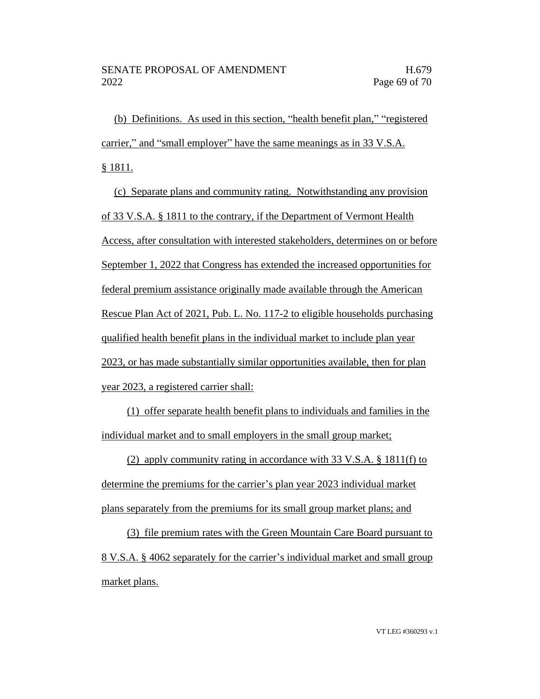(b) Definitions. As used in this section, "health benefit plan," "registered carrier," and "small employer" have the same meanings as in 33 V.S.A. § 1811.

(c) Separate plans and community rating. Notwithstanding any provision of 33 V.S.A. § 1811 to the contrary, if the Department of Vermont Health Access, after consultation with interested stakeholders, determines on or before September 1, 2022 that Congress has extended the increased opportunities for federal premium assistance originally made available through the American Rescue Plan Act of 2021, Pub. L. No. 117-2 to eligible households purchasing qualified health benefit plans in the individual market to include plan year 2023, or has made substantially similar opportunities available, then for plan year 2023, a registered carrier shall:

(1) offer separate health benefit plans to individuals and families in the individual market and to small employers in the small group market;

(2) apply community rating in accordance with 33 V.S.A. § 1811(f) to determine the premiums for the carrier's plan year 2023 individual market plans separately from the premiums for its small group market plans; and

(3) file premium rates with the Green Mountain Care Board pursuant to 8 V.S.A. § 4062 separately for the carrier's individual market and small group market plans.